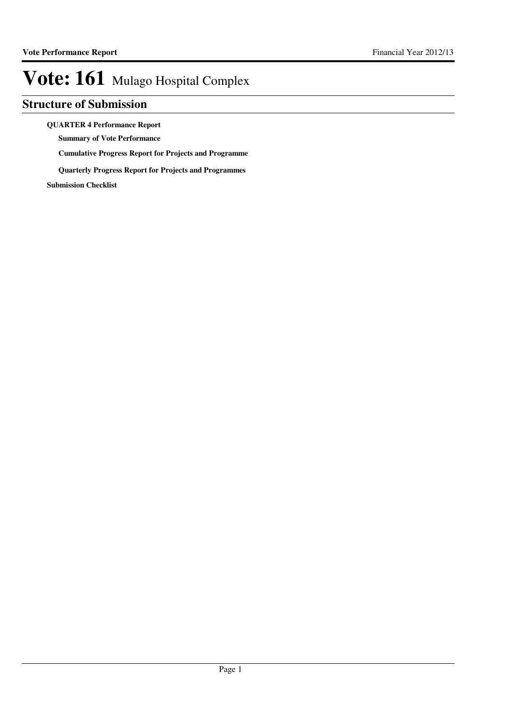### **Structure of Submission**

#### **QUARTER 4 Performance Report**

**Summary of Vote Performance**

**Cumulative Progress Report for Projects and Programme**

**Quarterly Progress Report for Projects and Programmes**

**Submission Checklist**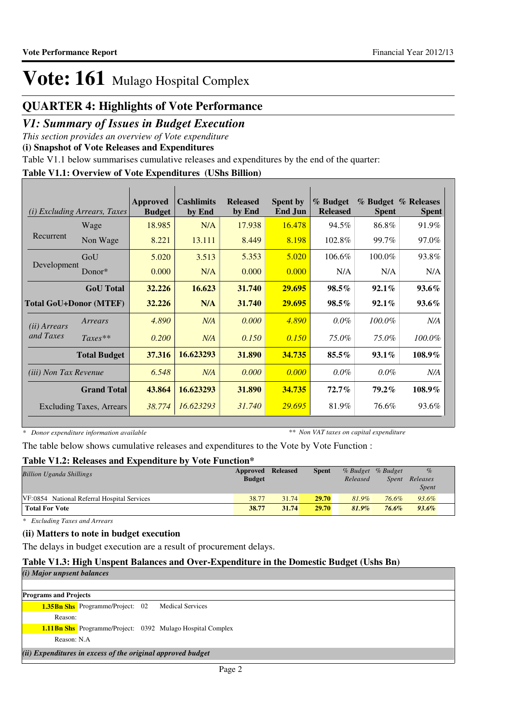### **QUARTER 4: Highlights of Vote Performance**

### *V1: Summary of Issues in Budget Execution*

*This section provides an overview of Vote expenditure* 

**(i) Snapshot of Vote Releases and Expenditures**

Table V1.1 below summarises cumulative releases and expenditures by the end of the quarter:

### **Table V1.1: Overview of Vote Expenditures (UShs Billion)**

| (i)                           | <i>Excluding Arrears, Taxes</i> | Approved<br><b>Budget</b> | <b>Cashlimits</b><br>by End | <b>Released</b><br>by End | <b>Spent by</b><br><b>End Jun</b> | % Budget<br><b>Released</b> | <b>Spent</b> | % Budget % Releases<br><b>Spent</b> |
|-------------------------------|---------------------------------|---------------------------|-----------------------------|---------------------------|-----------------------------------|-----------------------------|--------------|-------------------------------------|
|                               | Wage                            | 18.985                    | N/A                         | 17.938                    | 16.478                            | 94.5%                       | 86.8%        | 91.9%                               |
| Recurrent                     | Non Wage                        | 8.221                     | 13.111                      | 8.449                     | 8.198                             | 102.8%                      | 99.7%        | 97.0%                               |
|                               | GoU                             | 5.020                     | 3.513                       | 5.353                     | 5.020                             | 106.6%                      | 100.0%       | 93.8%                               |
| Development                   | Donor $*$                       | 0.000                     | N/A                         | 0.000                     | 0.000                             | N/A                         | N/A          | N/A                                 |
|                               | <b>GoU</b> Total                | 32.226                    | 16.623                      | 31.740                    | 29.695                            | $98.5\%$                    | $92.1\%$     | $93.6\%$                            |
| <b>Total GoU+Donor (MTEF)</b> |                                 | 32.226                    | N/A                         | 31.740                    | 29.695                            | $98.5\%$                    | $92.1\%$     | $93.6\%$                            |
| ( <i>ii</i> ) Arrears         | Arrears                         | 4.890                     | N/A                         | 0.000                     | 4.890                             | $0.0\%$                     | $100.0\%$    | N/A                                 |
| and Taxes                     | $Taxes**$                       | 0.200                     | N/A                         | 0.150                     | 0.150                             | 75.0%                       | 75.0%        | 100.0%                              |
|                               | <b>Total Budget</b>             | 37.316                    | 16.623293                   | 31.890                    | 34.735                            | $85.5\%$                    | $93.1\%$     | 108.9%                              |
| <i>(iii)</i> Non Tax Revenue  |                                 | 6.548                     | N/A                         | 0.000                     | 0.000                             | $0.0\%$                     | $0.0\%$      | N/A                                 |
|                               | <b>Grand Total</b>              | 43.864                    | 16.623293                   | 31.890                    | 34.735                            | $72.7\%$                    | $79.2\%$     | 108.9%                              |
|                               | Excluding Taxes, Arrears        | 38.774                    | 16.623293                   | 31.740                    | 29.695                            | 81.9%                       | 76.6%        | 93.6%                               |

*\* Donor expenditure information available*

*\*\* Non VAT taxes on capital expenditure*

The table below shows cumulative releases and expenditures to the Vote by Vote Function :

### **Table V1.2: Releases and Expenditure by Vote Function\***

| <b>Billion Uganda Shillings</b>             | Approved Released<br><b>Budget</b> |       | <b>Spent</b> | Released | % Budget % Budget<br>Spent | $\%$<br>Releases<br><b>Spent</b> |
|---------------------------------------------|------------------------------------|-------|--------------|----------|----------------------------|----------------------------------|
| VF:0854 National Referral Hospital Services | 38.77                              | 31.74 | 29.70        | 81.9%    | 76.6%                      | 93.6%                            |
| <b>Total For Vote</b>                       | 38.77                              | 31.74 | 29.70        | $81.9\%$ | 76.6%                      | $93.6\%$                         |

*\* Excluding Taxes and Arrears*

#### **(ii) Matters to note in budget execution**

The delays in budget execution are a result of procurement delays.

### **Table V1.3: High Unspent Balances and Over-Expenditure in the Domestic Budget (Ushs Bn)**

| (i) Major unpsent balances                                        |                         |  |  |  |  |
|-------------------------------------------------------------------|-------------------------|--|--|--|--|
|                                                                   |                         |  |  |  |  |
| <b>Programs and Projects</b>                                      |                         |  |  |  |  |
| <b>1.35Bn Shs</b> Programme/Project: 02                           | <b>Medical Services</b> |  |  |  |  |
| Reason:                                                           |                         |  |  |  |  |
| <b>1.11Bn Shs</b> Programme/Project: 0392 Mulago Hospital Complex |                         |  |  |  |  |
| Reason: N.A.                                                      |                         |  |  |  |  |
| (ii) Expenditures in excess of the original approved budget       |                         |  |  |  |  |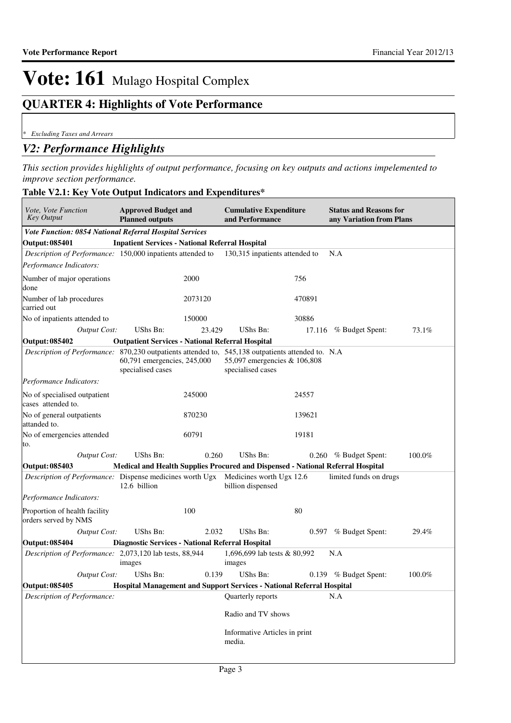### **QUARTER 4: Highlights of Vote Performance**

*\* Excluding Taxes and Arrears*

### *V2: Performance Highlights*

*This section provides highlights of output performance, focusing on key outputs and actions impelemented to improve section performance.*

#### **Table V2.1: Key Vote Output Indicators and Expenditures\***

| Vote, Vote Function<br><b>Key Output</b>                                                           | <b>Approved Budget and</b><br><b>Planned outputs</b>                            |         | <b>Cumulative Expenditure</b><br>and Performance  |        | <b>Status and Reasons for</b><br>any Variation from Plans |        |
|----------------------------------------------------------------------------------------------------|---------------------------------------------------------------------------------|---------|---------------------------------------------------|--------|-----------------------------------------------------------|--------|
| Vote Function: 0854 National Referral Hospital Services                                            |                                                                                 |         |                                                   |        |                                                           |        |
| <b>Output: 085401</b>                                                                              | <b>Inpatient Services - National Referral Hospital</b>                          |         |                                                   |        |                                                           |        |
| Description of Performance: 150,000 inpatients attended to                                         |                                                                                 |         | 130,315 inpatients attended to                    |        | N.A                                                       |        |
| Performance Indicators:                                                                            |                                                                                 |         |                                                   |        |                                                           |        |
| Number of major operations<br>done                                                                 |                                                                                 | 2000    |                                                   | 756    |                                                           |        |
| Number of lab procedures<br>carried out                                                            |                                                                                 | 2073120 |                                                   | 470891 |                                                           |        |
| No of inpatients attended to                                                                       |                                                                                 | 150000  |                                                   | 30886  |                                                           |        |
| <b>Output Cost:</b>                                                                                | UShs Bn:                                                                        | 23.429  | UShs Bn:                                          |        | 17.116 % Budget Spent:                                    | 73.1%  |
| <b>Output: 085402</b>                                                                              | <b>Outpatient Services - National Referral Hospital</b>                         |         |                                                   |        |                                                           |        |
| Description of Performance: 870,230 outpatients attended to, 545,138 outpatients attended to. N.A. | 60,791 emergencies, 245,000<br>specialised cases                                |         | 55,097 emergencies & 106,808<br>specialised cases |        |                                                           |        |
| Performance Indicators:                                                                            |                                                                                 |         |                                                   |        |                                                           |        |
| No of specialised outpatient<br>cases attended to.                                                 |                                                                                 | 245000  |                                                   | 24557  |                                                           |        |
| No of general outpatients<br>attanded to.                                                          |                                                                                 | 870230  |                                                   | 139621 |                                                           |        |
| No of emergencies attended<br>to.                                                                  |                                                                                 | 60791   |                                                   | 19181  |                                                           |        |
| <b>Output Cost:</b>                                                                                | UShs Bn:                                                                        | 0.260   | <b>UShs Bn:</b>                                   |        | 0.260 % Budget Spent:                                     | 100.0% |
| <b>Output: 085403</b>                                                                              | Medical and Health Supplies Procured and Dispensed - National Referral Hospital |         |                                                   |        |                                                           |        |
| <i>Description of Performance:</i> Dispense medicines worth Ugx Medicines worth Ugx 12.6           | 12.6 billion                                                                    |         | billion dispensed                                 |        | limited funds on drugs                                    |        |
| Performance Indicators:                                                                            |                                                                                 |         |                                                   |        |                                                           |        |
| Proportion of health facility<br>orders served by NMS                                              |                                                                                 | 100     |                                                   | 80     |                                                           |        |
| <b>Output Cost:</b>                                                                                | UShs Bn:                                                                        | 2.032   | UShs Bn:                                          |        | 0.597 % Budget Spent:                                     | 29.4%  |
| <b>Output: 085404</b>                                                                              | <b>Diagnostic Services - National Referral Hospital</b>                         |         |                                                   |        |                                                           |        |
| Description of Performance: 2,073,120 lab tests, 88,944                                            | images                                                                          |         | 1,696,699 lab tests & 80,992<br>images            |        | N.A                                                       |        |
| <b>Output Cost:</b>                                                                                | UShs Bn:                                                                        | 0.139   | <b>UShs Bn:</b>                                   |        | $0.139$ % Budget Spent:                                   | 100.0% |
| Output: 085405                                                                                     | Hospital Management and Support Services - National Referral Hospital           |         |                                                   |        |                                                           |        |
| Description of Performance:                                                                        |                                                                                 |         | Quarterly reports                                 |        | N.A                                                       |        |
|                                                                                                    |                                                                                 |         | Radio and TV shows                                |        |                                                           |        |
|                                                                                                    |                                                                                 |         | Informative Articles in print<br>media.           |        |                                                           |        |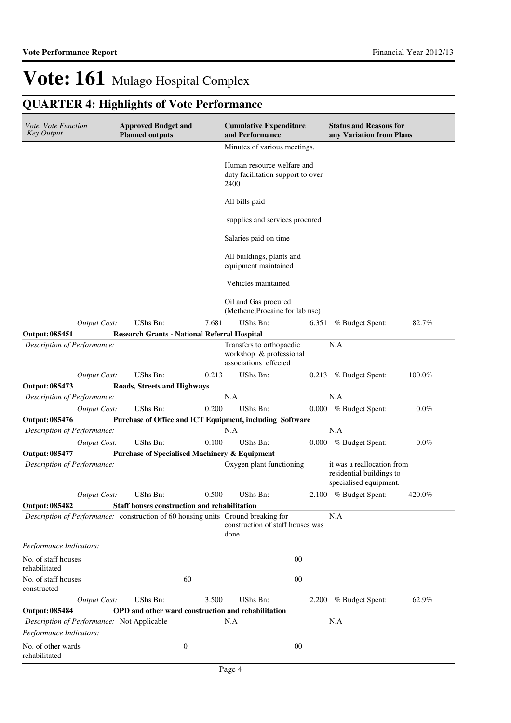## **QUARTER 4: Highlights of Vote Performance**

| Vote, Vote Function<br><b>Key Output</b>                                         | <b>Approved Budget and</b><br><b>Planned outputs</b>     |                  | <b>Cumulative Expenditure</b><br>and Performance                             |       | <b>Status and Reasons for</b><br>any Variation from Plans                        |         |
|----------------------------------------------------------------------------------|----------------------------------------------------------|------------------|------------------------------------------------------------------------------|-------|----------------------------------------------------------------------------------|---------|
|                                                                                  |                                                          |                  | Minutes of various meetings.                                                 |       |                                                                                  |         |
|                                                                                  |                                                          |                  | Human resource welfare and<br>duty facilitation support to over<br>2400      |       |                                                                                  |         |
|                                                                                  |                                                          |                  | All bills paid                                                               |       |                                                                                  |         |
|                                                                                  |                                                          |                  | supplies and services procured                                               |       |                                                                                  |         |
|                                                                                  |                                                          |                  | Salaries paid on time                                                        |       |                                                                                  |         |
|                                                                                  |                                                          |                  | All buildings, plants and<br>equipment maintained                            |       |                                                                                  |         |
|                                                                                  |                                                          |                  | Vehicles maintained                                                          |       |                                                                                  |         |
|                                                                                  |                                                          |                  | Oil and Gas procured<br>(Methene, Procaine for lab use)                      |       |                                                                                  |         |
| <b>Output Cost:</b>                                                              | UShs Bn:                                                 | 7.681            | UShs Bn:                                                                     | 6.351 | % Budget Spent:                                                                  | 82.7%   |
| Output: 085451                                                                   | <b>Research Grants - National Referral Hospital</b>      |                  |                                                                              |       |                                                                                  |         |
| Description of Performance:                                                      |                                                          |                  | Transfers to orthopaedic<br>workshop & professional<br>associations effected |       | N.A                                                                              |         |
| <b>Output Cost:</b>                                                              | UShs Bn:                                                 | 0.213            | UShs Bn:                                                                     | 0.213 | % Budget Spent:                                                                  | 100.0%  |
| Output: 085473                                                                   | <b>Roads, Streets and Highways</b>                       |                  |                                                                              |       |                                                                                  |         |
| Description of Performance:                                                      |                                                          |                  | N.A                                                                          |       | N.A                                                                              |         |
| <b>Output Cost:</b>                                                              | UShs Bn:                                                 | 0.200            | UShs Bn:                                                                     |       | 0.000 % Budget Spent:                                                            | $0.0\%$ |
| <b>Output: 085476</b>                                                            |                                                          |                  | Purchase of Office and ICT Equipment, including Software                     |       |                                                                                  |         |
| Description of Performance:                                                      |                                                          |                  | N.A                                                                          |       | N.A                                                                              |         |
| <b>Output Cost:</b>                                                              | UShs Bn:                                                 | 0.100            | UShs Bn:                                                                     |       | 0.000 % Budget Spent:                                                            | $0.0\%$ |
| <b>Output: 085477</b>                                                            | <b>Purchase of Specialised Machinery &amp; Equipment</b> |                  |                                                                              |       |                                                                                  |         |
| Description of Performance:                                                      |                                                          |                  | Oxygen plant functioning                                                     |       | it was a reallocation from<br>residential buildings to<br>specialised equipment. |         |
| Output Cost:                                                                     | UShs Bn:                                                 | 0.500            | UShs Bn:                                                                     |       | 2.100 % Budget Spent:                                                            | 420.0%  |
| <b>Output: 085482</b>                                                            | Staff houses construction and rehabilitation             |                  |                                                                              |       |                                                                                  |         |
| Description of Performance: construction of 60 housing units Ground breaking for |                                                          |                  | construction of staff houses was<br>done                                     |       | N.A                                                                              |         |
| Performance Indicators:                                                          |                                                          |                  |                                                                              |       |                                                                                  |         |
| No. of staff houses<br>rehabilitated                                             |                                                          |                  | $00\,$                                                                       |       |                                                                                  |         |
| No. of staff houses<br>constructed                                               |                                                          | 60               | $00\,$                                                                       |       |                                                                                  |         |
| <b>Output Cost:</b>                                                              | UShs Bn:                                                 | 3.500            | UShs Bn:                                                                     |       | 2.200 % Budget Spent:                                                            | 62.9%   |
| <b>Output: 085484</b>                                                            | OPD and other ward construction and rehabilitation       |                  |                                                                              |       |                                                                                  |         |
|                                                                                  | N.A<br>Description of Performance: Not Applicable<br>N.A |                  |                                                                              |       |                                                                                  |         |
| Performance Indicators:                                                          |                                                          |                  |                                                                              |       |                                                                                  |         |
| No. of other wards<br>rehabilitated                                              |                                                          | $\boldsymbol{0}$ | $00\,$                                                                       |       |                                                                                  |         |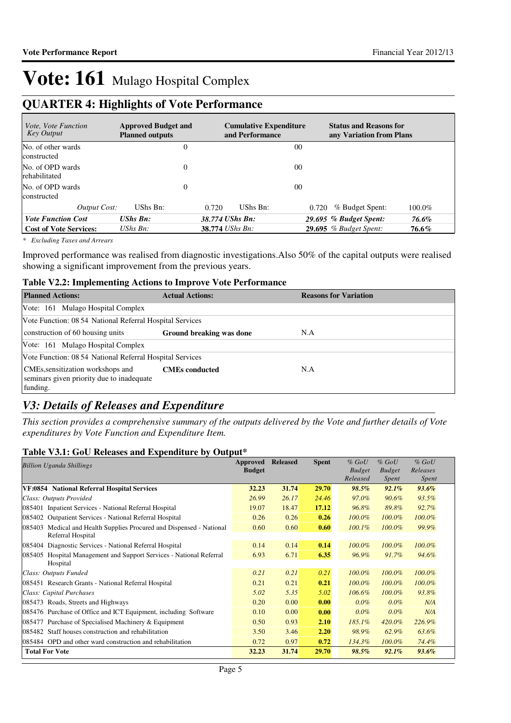### **QUARTER 4: Highlights of Vote Performance**

| <i>Vote, Vote Function</i><br>Key Output | <b>Approved Budget and</b><br><b>Planned outputs</b> | <b>Cumulative Expenditure</b><br>and Performance | <b>Status and Reasons for</b><br>any Variation from Plans |
|------------------------------------------|------------------------------------------------------|--------------------------------------------------|-----------------------------------------------------------|
| No. of other wards<br>constructed        | 0                                                    |                                                  | 00                                                        |
| No. of OPD wards<br>rehabilitated        | $\overline{0}$                                       |                                                  | 0 <sup>0</sup>                                            |
| No. of OPD wards<br>constructed          | 0                                                    |                                                  | 00                                                        |
| Output Cost:                             | UShs Bn:                                             | 0.720<br>UShs Bn:                                | $100.0\%$<br>% Budget Spent:<br>0.720                     |
| <b>Vote Function Cost</b>                | <b>UShs Bn:</b>                                      | 38.774 UShs Bn:                                  | 29.695 % Budget Spent:<br>76.6%                           |
| <b>Cost of Vote Services:</b>            | UShs Bn:                                             | 38.774 UShs Bn:                                  | <b>29.695</b> % Budget Spent:<br>76.6%                    |

*\* Excluding Taxes and Arrears*

Improved performance was realised from diagnostic investigations.Also 50% of the capital outputs were realised showing a significant improvement from the previous years.

#### **Table V2.2: Implementing Actions to Improve Vote Performance**

| <b>Planned Actions:</b>                                                                    | <b>Actual Actions:</b>   | <b>Reasons for Variation</b> |
|--------------------------------------------------------------------------------------------|--------------------------|------------------------------|
| Vote: 161 Mulago Hospital Complex                                                          |                          |                              |
| Vote Function: 08 54 National Referral Hospital Services                                   |                          |                              |
| construction of 60 housing units                                                           | Ground breaking was done | N.A                          |
| Vote: 161 Mulago Hospital Complex                                                          |                          |                              |
| Vote Function: 08 54 National Referral Hospital Services                                   |                          |                              |
| CMEs, sensitization workshops and<br>seminars given priority due to inadequate<br>funding. | <b>CMEs</b> conducted    | N.A                          |

### *V3: Details of Releases and Expenditure*

*This section provides a comprehensive summary of the outputs delivered by the Vote and further details of Vote expenditures by Vote Function and Expenditure Item.*

#### **Table V3.1: GoU Releases and Expenditure by Output\***

| <b>Billion Uganda Shillings</b>                                                              | Approved      | <b>Released</b> | <b>Spent</b> | $%$ GoU       | $\%$ GoU      | $%$ GoU   |
|----------------------------------------------------------------------------------------------|---------------|-----------------|--------------|---------------|---------------|-----------|
|                                                                                              | <b>Budget</b> |                 |              | <b>Budget</b> | <b>Budget</b> | Releases  |
|                                                                                              |               |                 |              | Released      | Spent         | Spent     |
| VF:0854 National Referral Hospital Services                                                  | 32.23         | 31.74           | 29.70        | $98.5\%$      | $92.1\%$      | $93.6\%$  |
| Class: Outputs Provided                                                                      | 26.99         | 26.17           | 24.46        | 97.0%         | $90.6\%$      | 93.5%     |
| 085401 Inpatient Services - National Referral Hospital                                       | 19.07         | 18.47           | 17.12        | 96.8%         | 89.8%         | 92.7%     |
| 085402 Outpatient Services - National Referral Hospital                                      | 0.26          | 0.26            | 0.26         | $100.0\%$     | $100.0\%$     | $100.0\%$ |
| Medical and Health Supplies Procured and Dispensed - National<br>085403<br>Referral Hospital | 0.60          | 0.60            | 0.60         | $100.1\%$     | 100.0%        | 99.9%     |
| 085404 Diagnostic Services - National Referral Hospital                                      | 0.14          | 0.14            | 0.14         | 100.0%        | $100.0\%$     | 100.0%    |
| Hospital Management and Support Services - National Referral<br>085405                       | 6.93          | 6.71            | 6.35         | 96.9%         | 91.7%         | 94.6%     |
| Hospital                                                                                     |               |                 |              |               |               |           |
| Class: Outputs Funded                                                                        | 0.21          | 0.21            | 0.21         | $100.0\%$     | $100.0\%$     | $100.0\%$ |
| 085451 Research Grants - National Referral Hospital                                          | 0.21          | 0.21            | 0.21         | $100.0\%$     | $100.0\%$     | $100.0\%$ |
| Class: Capital Purchases                                                                     | 5.02          | 5.35            | 5.02         | $106.6\%$     | $100.0\%$     | 93.8%     |
| 085473 Roads, Streets and Highways                                                           | 0.20          | 0.00            | 0.00         | $0.0\%$       | $0.0\%$       | N/A       |
| 085476 Purchase of Office and ICT Equipment, including Software                              | 0.10          | 0.00            | 0.00         | $0.0\%$       | $0.0\%$       | N/A       |
| 085477 Purchase of Specialised Machinery & Equipment                                         | 0.50          | 0.93            | 2.10         | $185.1\%$     | 420.0%        | 226.9%    |
| 085482 Staff houses construction and rehabilitation                                          | 3.50          | 3.46            | 2.20         | 98.9%         | 62.9%         | 63.6%     |
| 085484 OPD and other ward construction and rehabilitation                                    | 0.72          | 0.97            | 0.72         | 134.3%        | $100.0\%$     | 74.4%     |
| <b>Total For Vote</b>                                                                        | 32.23         | 31.74           | 29.70        | 98.5%         | $92.1\%$      | $93.6\%$  |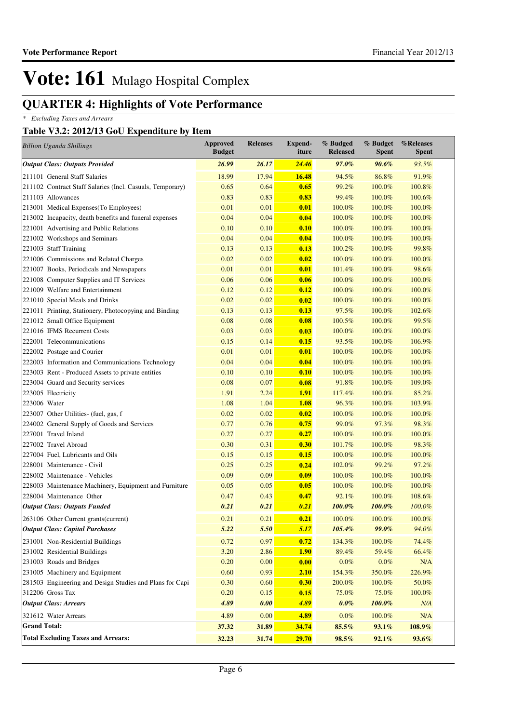## **QUARTER 4: Highlights of Vote Performance**

*\* Excluding Taxes and Arrears*

### **Table V3.2: 2012/13 GoU Expenditure by Item**

| <b>Billion Uganda Shillings</b>                           | <b>Approved</b><br><b>Budget</b> | <b>Releases</b> | <b>Expend-</b><br>iture | % Budged<br><b>Released</b> | % Budget<br><b>Spent</b> | %Releases<br><b>Spent</b> |
|-----------------------------------------------------------|----------------------------------|-----------------|-------------------------|-----------------------------|--------------------------|---------------------------|
| <b>Output Class: Outputs Provided</b>                     | 26.99                            | 26.17           | 24.46                   | 97.0%                       | 90.6%                    | 93.5%                     |
| 211101 General Staff Salaries                             | 18.99                            | 17.94           | 16.48                   | 94.5%                       | 86.8%                    | 91.9%                     |
| 211102 Contract Staff Salaries (Incl. Casuals, Temporary) | 0.65                             | 0.64            | 0.65                    | 99.2%                       | 100.0%                   | 100.8%                    |
| 211103 Allowances                                         | 0.83                             | 0.83            | 0.83                    | 99.4%                       | 100.0%                   | 100.6%                    |
| 213001 Medical Expenses(To Employees)                     | 0.01                             | 0.01            | 0.01                    | 100.0%                      | 100.0%                   | 100.0%                    |
| 213002 Incapacity, death benefits and funeral expenses    | 0.04                             | 0.04            | 0.04                    | 100.0%                      | 100.0%                   | 100.0%                    |
| 221001 Advertising and Public Relations                   | 0.10                             | 0.10            | 0.10                    | 100.0%                      | 100.0%                   | 100.0%                    |
| 221002 Workshops and Seminars                             | 0.04                             | 0.04            | 0.04                    | 100.0%                      | 100.0%                   | 100.0%                    |
| 221003 Staff Training                                     | 0.13                             | 0.13            | 0.13                    | 100.2%                      | 100.0%                   | 99.8%                     |
| 221006 Commissions and Related Charges                    | 0.02                             | 0.02            | 0.02                    | 100.0%                      | 100.0%                   | 100.0%                    |
| 221007 Books, Periodicals and Newspapers                  | 0.01                             | 0.01            | 0.01                    | 101.4%                      | 100.0%                   | 98.6%                     |
| 221008 Computer Supplies and IT Services                  | 0.06                             | 0.06            | 0.06                    | 100.0%                      | 100.0%                   | 100.0%                    |
| 221009 Welfare and Entertainment                          | 0.12                             | 0.12            | 0.12                    | 100.0%                      | 100.0%                   | 100.0%                    |
| 221010 Special Meals and Drinks                           | 0.02                             | 0.02            | 0.02                    | 100.0%                      | 100.0%                   | 100.0%                    |
| 221011 Printing, Stationery, Photocopying and Binding     | 0.13                             | 0.13            | 0.13                    | 97.5%                       | 100.0%                   | 102.6%                    |
| 221012 Small Office Equipment                             | 0.08                             | 0.08            | 0.08                    | 100.5%                      | 100.0%                   | 99.5%                     |
| 221016 IFMS Recurrent Costs                               | 0.03                             | 0.03            | 0.03                    | 100.0%                      | 100.0%                   | 100.0%                    |
| 222001 Telecommunications                                 | 0.15                             | 0.14            | 0.15                    | 93.5%                       | 100.0%                   | 106.9%                    |
| 222002 Postage and Courier                                | 0.01                             | 0.01            | 0.01                    | 100.0%                      | 100.0%                   | 100.0%                    |
| 222003 Information and Communications Technology          | 0.04                             | 0.04            | 0.04                    | 100.0%                      | 100.0%                   | 100.0%                    |
| 223003 Rent - Produced Assets to private entities         | 0.10                             | 0.10            | 0.10                    | 100.0%                      | 100.0%                   | 100.0%                    |
| 223004 Guard and Security services                        | 0.08                             | 0.07            | 0.08                    | 91.8%                       | 100.0%                   | 109.0%                    |
| 223005 Electricity                                        | 1.91                             | 2.24            | 1.91                    | 117.4%                      | 100.0%                   | 85.2%                     |
| 223006 Water                                              | 1.08                             | 1.04            | 1.08                    | 96.3%                       | 100.0%                   | 103.9%                    |
| 223007 Other Utilities- (fuel, gas, f                     | 0.02                             | 0.02            | 0.02                    | 100.0%                      | 100.0%                   | 100.0%                    |
| 224002 General Supply of Goods and Services               | 0.77                             | 0.76            | 0.75                    | 99.0%                       | 97.3%                    | 98.3%                     |
| 227001 Travel Inland                                      | 0.27                             | 0.27            | 0.27                    | 100.0%                      | 100.0%                   | 100.0%                    |
| 227002 Travel Abroad                                      | 0.30                             | 0.31            | 0.30                    | 101.7%                      | 100.0%                   | 98.3%                     |
| 227004 Fuel, Lubricants and Oils                          | 0.15                             | 0.15            | 0.15                    | 100.0%                      | 100.0%                   | 100.0%                    |
| 228001 Maintenance - Civil                                | 0.25                             | 0.25            | 0.24                    | 102.0%                      | 99.2%                    | 97.2%                     |
| 228002 Maintenance - Vehicles                             | 0.09                             | 0.09            | 0.09                    | 100.0%                      | 100.0%                   | 100.0%                    |
| 228003 Maintenance Machinery, Equipment and Furniture     | 0.05                             | 0.05            | 0.05                    | 100.0%                      | 100.0%                   | 100.0%                    |
| 228004 Maintenance Other                                  | 0.47                             | 0.43            | 0.47                    | 92.1%                       | 100.0%                   | 108.6%                    |
| <b>Output Class: Outputs Funded</b>                       | 0.21                             | 0.21            | 0.21                    | 100.0%                      | 100.0%                   | 100.0%                    |
| 263106 Other Current grants (current)                     | 0.21                             | 0.21            | 0.21                    | 100.0%                      | 100.0%                   | 100.0%                    |
| <b>Output Class: Capital Purchases</b>                    | 5.22                             | 5.50            | 5.17                    | 105.4%                      | $99.0\%$                 | 94.0%                     |
| 231001 Non-Residential Buildings                          | 0.72                             | 0.97            | 0.72                    | 134.3%                      | 100.0%                   | 74.4%                     |
| 231002 Residential Buildings                              | 3.20                             | 2.86            | <b>1.90</b>             | 89.4%                       | 59.4%                    | 66.4%                     |
| 231003 Roads and Bridges                                  | 0.20                             | 0.00            | 0.00                    | $0.0\%$                     | $0.0\%$                  | N/A                       |
| 231005 Machinery and Equipment                            | 0.60                             | 0.93            | 2.10                    | 154.3%                      | 350.0%                   | 226.9%                    |
| 281503 Engineering and Design Studies and Plans for Capi  | 0.30                             | 0.60            | 0.30                    | 200.0%                      | 100.0%                   | 50.0%                     |
| 312206 Gross Tax                                          | 0.20                             | 0.15            | 0.15                    | 75.0%                       | 75.0%                    | 100.0%                    |
| <b>Output Class: Arrears</b>                              | 4.89                             | 0.00            | 4.89                    | $0.0\%$                     | 100.0%                   | N/A                       |
| 321612 Water Arrears                                      | 4.89                             | 0.00            | 4.89                    | $0.0\%$                     | 100.0%                   | N/A                       |
| <b>Grand Total:</b>                                       | 37.32                            | 31.89           | 34.74                   | 85.5%                       | 93.1%                    | 108.9%                    |
| <b>Total Excluding Taxes and Arrears:</b>                 | 32.23                            | 31.74           | 29.70                   | 98.5%                       | 92.1%                    | 93.6%                     |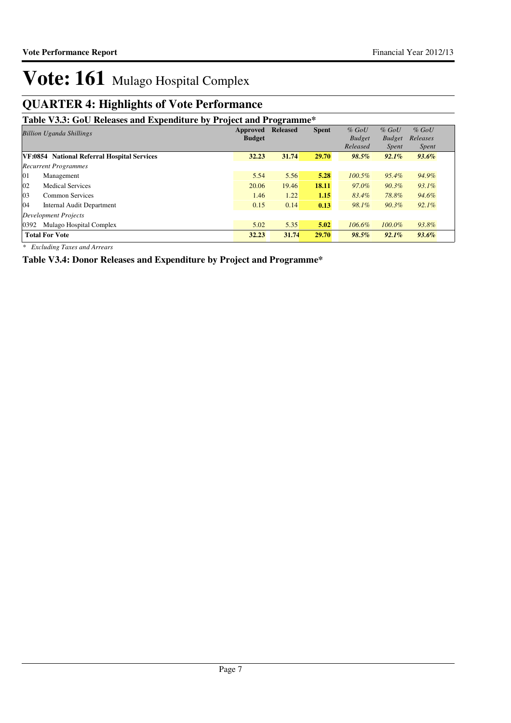### **QUARTER 4: Highlights of Vote Performance**

### **Table V3.3: GoU Releases and Expenditure by Project and Programme\***

| <b>Billion Uganda Shillings</b>             |               | <b>Released</b> | <b>Spent</b> | $%$ GoU       | $%$ GoU       | $%$ GoU      |  |
|---------------------------------------------|---------------|-----------------|--------------|---------------|---------------|--------------|--|
|                                             | <b>Budget</b> |                 |              | <b>Budget</b> | <b>Budget</b> | Releases     |  |
|                                             |               |                 |              | Released      | <i>Spent</i>  | <i>Spent</i> |  |
| VF:0854 National Referral Hospital Services | 32.23         | 31.74           | 29.70        | 98.5%         | 92.1%         | $93.6\%$     |  |
| <b>Recurrent Programmes</b>                 |               |                 |              |               |               |              |  |
| 01<br>Management                            | 5.54          | 5.56            | 5.28         | $100.5\%$     | 95.4%         | 94.9%        |  |
| 02<br><b>Medical Services</b>               | 20.06         | 19.46           | 18.11        | 97.0%         | $90.3\%$      | $93.1\%$     |  |
| 03<br>Common Services                       | 1.46          | 1.22            | 1.15         | 83.4%         | 78.8%         | 94.6%        |  |
| 04<br>Internal Audit Department             | 0.15          | 0.14            | 0.13         | 98.1%         | $90.3\%$      | $92.1\%$     |  |
| Development Projects                        |               |                 |              |               |               |              |  |
| Mulago Hospital Complex<br>0392             | 5.02          | 5.35            | 5.02         | 106.6%        | $100.0\%$     | 93.8%        |  |
| <b>Total For Vote</b>                       | 32.23         | 31.74           | 29.70        | 98.5%         | 92.1%         | $93.6\%$     |  |

*\* Excluding Taxes and Arrears*

**Table V3.4: Donor Releases and Expenditure by Project and Programme\***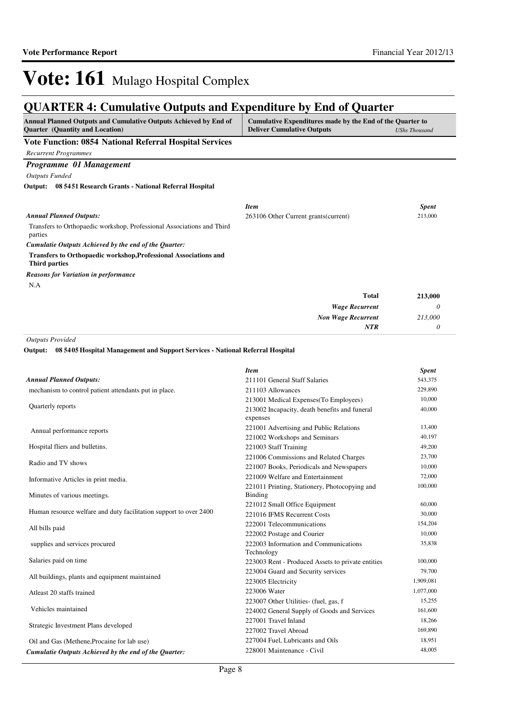### **QUARTER 4: Cumulative Outputs and Expenditure by End of Quarter**

| QUANTER 7. Camalative Outputs and Expenditure by Eine of Quarter                                                    |                                                                                                |                      |  |
|---------------------------------------------------------------------------------------------------------------------|------------------------------------------------------------------------------------------------|----------------------|--|
| Annual Planned Outputs and Cumulative Outputs Achieved by End of<br><b>Quarter</b> (Quantity and Location)          | Cumulative Expenditures made by the End of the Quarter to<br><b>Deliver Cumulative Outputs</b> | <b>UShs Thousand</b> |  |
| Vote Function: 0854 National Referral Hospital Services                                                             |                                                                                                |                      |  |
| <b>Recurrent Programmes</b>                                                                                         |                                                                                                |                      |  |
| Programme 01 Management                                                                                             |                                                                                                |                      |  |
| <b>Outputs Funded</b>                                                                                               |                                                                                                |                      |  |
| Output: 08 54 51 Research Grants - National Referral Hospital                                                       |                                                                                                |                      |  |
|                                                                                                                     | <b>Item</b>                                                                                    | <b>Spent</b>         |  |
| <b>Annual Planned Outputs:</b>                                                                                      | 263106 Other Current grants (current)                                                          | 213,000              |  |
| Transfers to Orthopaedic workshop, Professional Associations and Third<br>parties                                   |                                                                                                |                      |  |
| Cumulatie Outputs Achieved by the end of the Quarter:                                                               |                                                                                                |                      |  |
| Transfers to Orthopaedic workshop, Professional Associations and<br><b>Third parties</b>                            |                                                                                                |                      |  |
| <b>Reasons for Variation in performance</b>                                                                         |                                                                                                |                      |  |
| N.A                                                                                                                 |                                                                                                |                      |  |
|                                                                                                                     | <b>Total</b>                                                                                   | 213,000              |  |
|                                                                                                                     | <b>Wage Recurrent</b>                                                                          | 0                    |  |
|                                                                                                                     | <b>Non Wage Recurrent</b>                                                                      | 213,000              |  |
|                                                                                                                     | <b>NTR</b>                                                                                     | 0                    |  |
| <b>Outputs Provided</b><br>08 5405 Hospital Management and Support Services - National Referral Hospital<br>Output: |                                                                                                |                      |  |
|                                                                                                                     | <b>Item</b>                                                                                    | <b>Spent</b>         |  |
| <b>Annual Planned Outputs:</b>                                                                                      | 211101 General Staff Salaries                                                                  | 543,375              |  |
| mechanism to control patient attendants put in place.                                                               | 211103 Allowances                                                                              | 229,890              |  |
|                                                                                                                     | 213001 Medical Expenses(To Employees)                                                          | 10,000               |  |
| Quarterly reports                                                                                                   | 213002 Incapacity, death benefits and funeral<br>expenses                                      | 40,000               |  |
| Annual performance reports                                                                                          | 221001 Advertising and Public Relations                                                        | 13,400               |  |
|                                                                                                                     | 221002 Workshops and Seminars                                                                  | 40,197               |  |
| Hospital fliers and bulletins.                                                                                      | 221003 Staff Training                                                                          | 49,200               |  |
| Radio and TV shows                                                                                                  | 221006 Commissions and Related Charges                                                         | 23,700               |  |
|                                                                                                                     | 221007 Books, Periodicals and Newspapers                                                       | 10,000               |  |
| Informative Articles in print media.                                                                                | 221009 Welfare and Entertainment                                                               | 72,000               |  |
|                                                                                                                     | 221011 Printing, Stationery, Photocopying and<br>Binding                                       | 100,000              |  |
| Minutes of various meetings.                                                                                        | 221012 Small Office Equipment                                                                  | 60,000               |  |
| Human resource welfare and duty facilitation support to over 2400                                                   | 221016 IFMS Recurrent Costs                                                                    | 30,000               |  |

All bills paid

supplies and services procured

Salaries paid on time

All buildings, plants and equipment maintained

Atleast 20 staffs trained

Vehicles maintained

Strategic Investment Plans developed

Oil and Gas (Methene,Procaine for lab use) *Cumulatie Outputs Achieved by the end of the Quarter:* 222001 Telecommunications 154,204 222002 Postage and Courier 10,000

223003 Rent - Produced Assets to private entities 100,000 223004 Guard and Security services 79,700 223005 Electricity 1,909,081 223006 Water 1,077,000 223007 Other Utilities- (fuel, gas, f 15,255 224002 General Supply of Goods and Services 161,600 227001 Travel Inland 18,266 227002 Travel Abroad 169,890 227004 Fuel, Lubricants and Oils 18,951 228001 Maintenance - Civil 48,005

35,838

222003 Information and Communications

Technology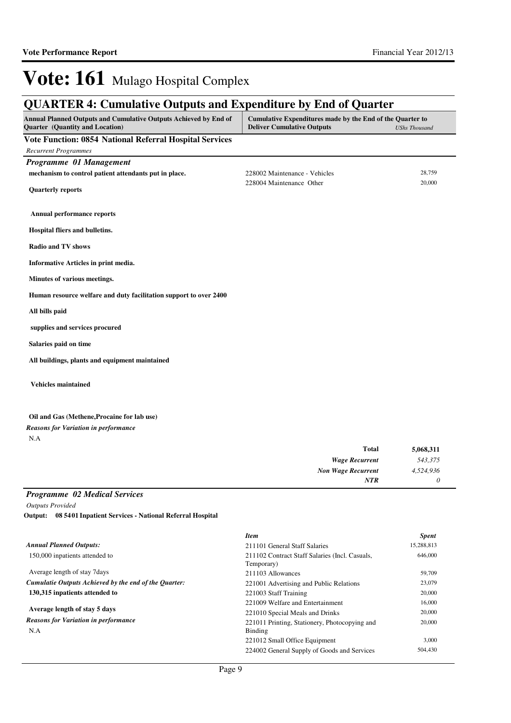*0*

*NTR*

## Vote: 161 Mulago Hospital Complex

### **QUARTER 4: Cumulative Outputs and Expenditure by End of Quarter**

| Annual Planned Outputs and Cumulative Outputs Achieved by End of<br>Quarter (Quantity and Location) | Cumulative Expenditures made by the End of the Quarter to<br><b>Deliver Cumulative Outputs</b> | <b>UShs Thousand</b> |  |
|-----------------------------------------------------------------------------------------------------|------------------------------------------------------------------------------------------------|----------------------|--|
| Vote Function: 0854 National Referral Hospital Services                                             |                                                                                                |                      |  |
| <b>Recurrent Programmes</b>                                                                         |                                                                                                |                      |  |
| Programme 01 Management                                                                             |                                                                                                |                      |  |
| mechanism to control patient attendants put in place.                                               | 228002 Maintenance - Vehicles                                                                  | 28,759               |  |
| <b>Quarterly reports</b>                                                                            | 228004 Maintenance Other                                                                       | 20,000               |  |
| Annual performance reports                                                                          |                                                                                                |                      |  |
| Hospital fliers and bulletins.                                                                      |                                                                                                |                      |  |
| <b>Radio and TV shows</b>                                                                           |                                                                                                |                      |  |
| Informative Articles in print media.                                                                |                                                                                                |                      |  |
| Minutes of various meetings.                                                                        |                                                                                                |                      |  |
| Human resource welfare and duty facilitation support to over 2400                                   |                                                                                                |                      |  |
| All bills paid                                                                                      |                                                                                                |                      |  |
| supplies and services procured                                                                      |                                                                                                |                      |  |
| Salaries paid on time                                                                               |                                                                                                |                      |  |
| All buildings, plants and equipment maintained                                                      |                                                                                                |                      |  |
| <b>Vehicles maintained</b>                                                                          |                                                                                                |                      |  |
| Oil and Gas (Methene, Procaine for lab use)                                                         |                                                                                                |                      |  |
| <b>Reasons for Variation in performance</b>                                                         |                                                                                                |                      |  |
| N.A                                                                                                 |                                                                                                |                      |  |
|                                                                                                     | <b>Total</b>                                                                                   | 5,068,311            |  |
|                                                                                                     | <b>Wage Recurrent</b>                                                                          | 543,375              |  |
|                                                                                                     | <b>Non Wage Recurrent</b>                                                                      | 4,524,936            |  |

#### *Programme 02 Medical Services*

*Outputs Provided*

**08 5401 Inpatient Services - National Referral Hospital Output:**

|                                                       | <b>Item</b>                                                  | <b>Spent</b> |
|-------------------------------------------------------|--------------------------------------------------------------|--------------|
| <b>Annual Planned Outputs:</b>                        | 211101 General Staff Salaries                                | 15,288,813   |
| 150,000 inpatients attended to                        | 211102 Contract Staff Salaries (Incl. Casuals,<br>Temporary) | 646,000      |
| Average length of stay 7 days                         | 211103 Allowances                                            | 59,709       |
| Cumulatie Outputs Achieved by the end of the Ouarter: | 221001 Advertising and Public Relations                      | 23,079       |
| 130,315 inpatients attended to                        | 221003 Staff Training                                        | 20,000       |
|                                                       | 221009 Welfare and Entertainment                             | 16,000       |
| Average length of stay 5 days                         | 221010 Special Meals and Drinks                              | 20,000       |
| <b>Reasons for Variation in performance</b><br>N.A    | 221011 Printing, Stationery, Photocopying and<br>Binding     | 20,000       |
|                                                       | 221012 Small Office Equipment                                | 3,000        |
|                                                       | 224002 General Supply of Goods and Services                  | 504,430      |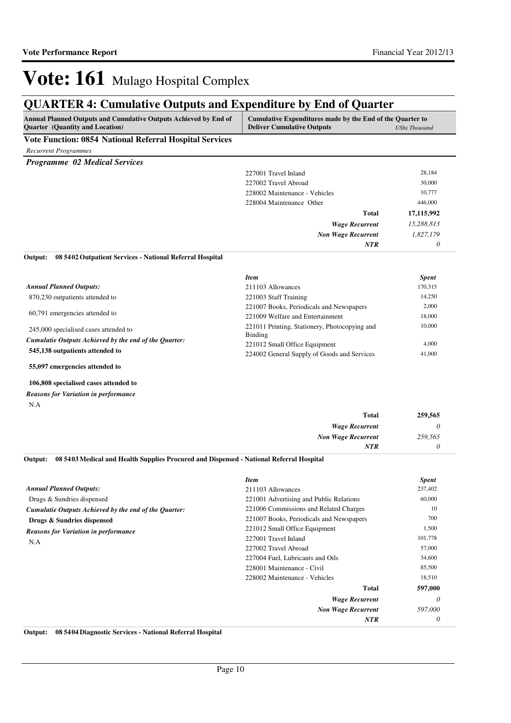### **QUARTER 4: Cumulative Outputs and Expenditure by End of Quarter**

| <b>Annual Planned Outputs and Cumulative Outputs Achieved by End of</b>                                        | Cumulative Expenditures made by the End of the Quarter to |               |
|----------------------------------------------------------------------------------------------------------------|-----------------------------------------------------------|---------------|
| <b>Ouarter</b> (Quantity and Location)                                                                         | <b>Deliver Cumulative Outputs</b>                         | UShs Thousand |
| <b>TT . TT</b><br>$\mathbf{A} \mathbf{A} = \mathbf{A} \mathbf{A} + \mathbf{A} \mathbf{A}$<br>.<br>$\mathbf{r}$ |                                                           |               |

#### **Vote Function: 0854 National Referral Hospital Services**

| <b>Recurrent Programmes</b> |  |
|-----------------------------|--|
|                             |  |

| <b>Programme</b> 02 Medical Services |
|--------------------------------------|
|                                      |
|                                      |

| 227001 Travel Inland          | 28,184     |
|-------------------------------|------------|
| 227002 Travel Abroad          | 30,000     |
| 228002 Maintenance - Vehicles | 10,777     |
| 228004 Maintenance Other      | 446,000    |
| Total                         |            |
| <b>Wage Recurrent</b>         | 15,288,813 |
| <b>Non Wage Recurrent</b>     |            |
| <b>NTR</b>                    | 0          |

#### **08 5402 Outpatient Services - National Referral Hospital Output:**

|                                                                                          | Item                                                                         | <b>Spent</b>    |
|------------------------------------------------------------------------------------------|------------------------------------------------------------------------------|-----------------|
| <b>Annual Planned Outputs:</b>                                                           | 211103 Allowances                                                            | 170,315         |
| 870,230 outpatients attended to                                                          | 221003 Staff Training                                                        | 14.250          |
| 60,791 emergencies attended to                                                           | 221007 Books, Periodicals and Newspapers                                     | 2,000           |
|                                                                                          | 221009 Welfare and Entertainment                                             | 18,000          |
| 245,000 specialised cases attended to                                                    | 221011 Printing, Stationery, Photocopying and<br><b>Binding</b>              | 10,000          |
| Cumulatie Outputs Achieved by the end of the Ouarter:<br>545,138 outpatients attended to | 221012 Small Office Equipment<br>224002 General Supply of Goods and Services | 4.000<br>41,000 |
|                                                                                          |                                                                              |                 |

**55,097 emergencies attended to**

#### **106,808 specialised cases attended to**

N.A *Reasons for Variation in performance*

| Total                     | 259,565 |
|---------------------------|---------|
| <b>Wage Recurrent</b>     |         |
| <b>Non Wage Recurrent</b> | 259,565 |
| NTR                       |         |

#### **08 5403 Medical and Health Supplies Procured and Dispensed - National Referral Hospital Output:**

|                                                       | <b>Item</b>                              | <b>Spent</b> |
|-------------------------------------------------------|------------------------------------------|--------------|
| <b>Annual Planned Outputs:</b>                        | 211103 Allowances                        | 237,402      |
| Drugs & Sundries dispensed                            | 221001 Advertising and Public Relations  | 60,000       |
| Cumulatie Outputs Achieved by the end of the Ouarter: | 221006 Commissions and Related Charges   | 10           |
| Drugs & Sundries dispensed                            | 221007 Books, Periodicals and Newspapers | 700          |
| <b>Reasons for Variation in performance</b>           | 221012 Small Office Equipment            | 1,500        |
| N.A                                                   | 227001 Travel Inland                     | 101,778      |
|                                                       | 227002 Travel Abroad                     | 57,000       |
|                                                       | 227004 Fuel, Lubricants and Oils         | 34,600       |
|                                                       | 228001 Maintenance - Civil               | 85,500       |
|                                                       | 228002 Maintenance - Vehicles            | 18,510       |
|                                                       | Total                                    | 597,000      |
|                                                       | <b>Wage Recurrent</b>                    | 0            |
|                                                       | <b>Non Wage Recurrent</b>                | 597,000      |
|                                                       | <b>NTR</b>                               | 0            |

**Output: 08 5404 Diagnostic Services - National Referral Hospital**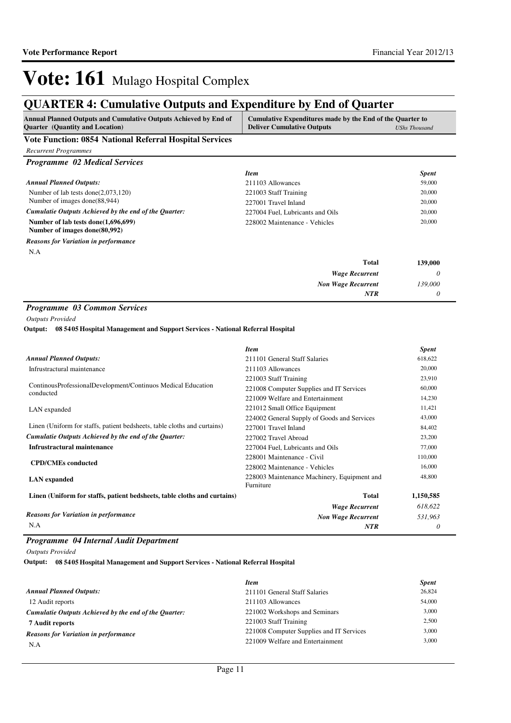## **QUARTER 4: Cumulative Outputs and Expenditure by End of Quarter**

| Annual Planned Outputs and Cumulative Outputs Achieved by End of<br><b>Ouarter</b> (Quantity and Location) | Cumulative Expenditures made by the End of the Quarter to<br><b>Deliver Cumulative Outputs</b> | <b>UShs Thousand</b> |
|------------------------------------------------------------------------------------------------------------|------------------------------------------------------------------------------------------------|----------------------|
| <b>Vote Function: 0854 National Referral Hospital Services</b>                                             |                                                                                                |                      |
| Recurrent Programmes                                                                                       |                                                                                                |                      |

| <b>Programme</b> 02 Medical Services                                 |                                  |              |
|----------------------------------------------------------------------|----------------------------------|--------------|
|                                                                      | <b>Item</b>                      | <b>Spent</b> |
| <b>Annual Planned Outputs:</b>                                       | 211103 Allowances                | 59,000       |
| Number of lab tests done( $2,073,120$ )                              | 221003 Staff Training            | 20,000       |
| Number of images done(88,944)                                        | 227001 Travel Inland             | 20,000       |
| Cumulatie Outputs Achieved by the end of the Ouarter:                | 227004 Fuel, Lubricants and Oils | 20,000       |
| Number of lab tests done(1,696,699)<br>Number of images done(80,992) | 228002 Maintenance - Vehicles    | 20,000       |
| <b>Reasons for Variation in performance</b>                          |                                  |              |
| N.A                                                                  |                                  |              |
|                                                                      | Total                            | 139,000      |
|                                                                      | <b>Wage Recurrent</b>            | 0            |
|                                                                      | <b>Non Wage Recurrent</b>        | 139,000      |
|                                                                      | <b>NTR</b>                       | 0            |

#### *Programme 03 Common Services*

*Outputs Provided*

**08 5405 Hospital Management and Support Services - National Referral Hospital Output:**

|                                                                          | <b>Item</b>                                 | <b>Spent</b> |
|--------------------------------------------------------------------------|---------------------------------------------|--------------|
| <b>Annual Planned Outputs:</b>                                           | 211101 General Staff Salaries               | 618,622      |
| Infrustractural maintenance                                              | 211103 Allowances                           | 20,000       |
|                                                                          | 221003 Staff Training                       | 23,910       |
| ContinousProfessionalDevelopment/Continuos Medical Education             | 221008 Computer Supplies and IT Services    | 60,000       |
| conducted                                                                | 221009 Welfare and Entertainment            | 14,230       |
| LAN expanded                                                             | 221012 Small Office Equipment               | 11,421       |
|                                                                          | 224002 General Supply of Goods and Services | 43,000       |
| Linen (Uniform for staffs, patient bedsheets, table cloths and curtains) | 227001 Travel Inland                        | 84,402       |
| Cumulatie Outputs Achieved by the end of the Quarter:                    | 227002 Travel Abroad                        | 23,200       |
| Infrustractural maintenance                                              | 227004 Fuel, Lubricants and Oils            | 77,000       |
|                                                                          | 228001 Maintenance - Civil                  | 110,000      |
| <b>CPD/CMEs conducted</b>                                                | 228002 Maintenance - Vehicles               | 16,000       |
| <b>LAN</b> expanded                                                      | 228003 Maintenance Machinery, Equipment and | 48,800       |
|                                                                          | Furniture                                   |              |
| Linen (Uniform for staffs, patient bedsheets, table cloths and curtains) | Total                                       | 1,150,585    |
|                                                                          | <b>Wage Recurrent</b>                       | 618,622      |
| <b>Reasons for Variation in performance</b>                              | <b>Non Wage Recurrent</b>                   | 531,963      |
| N.A                                                                      | <b>NTR</b>                                  | 0            |

#### *Programme 04 Internal Audit Department*

*Outputs Provided*

**08 5405 Hospital Management and Support Services - National Referral Hospital Output:**

|                                                       | <b>Item</b>                              | <b>Spent</b> |
|-------------------------------------------------------|------------------------------------------|--------------|
| <b>Annual Planned Outputs:</b>                        | 211101 General Staff Salaries            | 26,824       |
| 12 Audit reports                                      | 211103 Allowances                        | 54,000       |
| Cumulatie Outputs Achieved by the end of the Ouarter: | 221002 Workshops and Seminars            | 3,000        |
| 7 Audit reports                                       | 221003 Staff Training                    | 2.500        |
| <b>Reasons for Variation in performance</b>           | 221008 Computer Supplies and IT Services | 3.000        |
| N.A                                                   | 221009 Welfare and Entertainment         | 3.000        |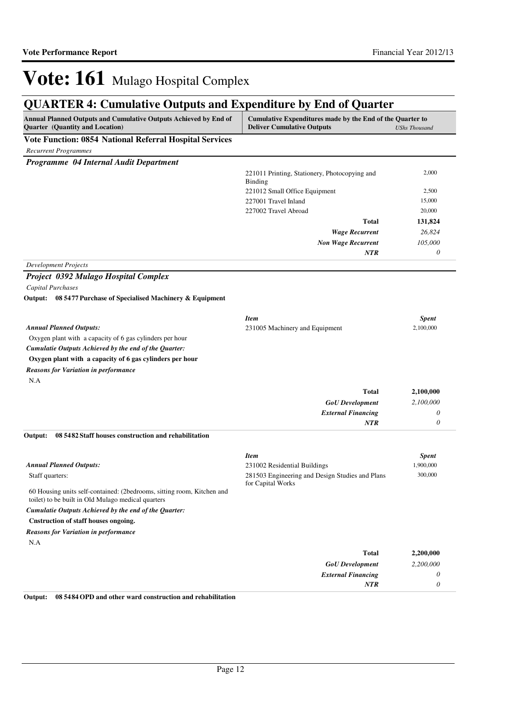## **QUARTER 4: Cumulative Outputs and Expenditure by End of Quarter**

| Vote Function: 0854 National Referral Hospital Services<br><b>Recurrent Programmes</b><br>Programme 04 Internal Audit Department<br>2,000<br>221011 Printing, Stationery, Photocopying and<br>Binding<br>2,500<br>221012 Small Office Equipment<br>15,000<br>227001 Travel Inland<br>20,000<br>227002 Travel Abroad<br><b>Total</b><br>131,824<br><b>Wage Recurrent</b><br>26,824<br>105,000<br><b>Non Wage Recurrent</b><br><b>NTR</b><br>0<br><b>Development Projects</b><br>Project 0392 Mulago Hospital Complex<br><b>Capital Purchases</b><br>08 5477 Purchase of Specialised Machinery & Equipment<br>Output:<br><b>Item</b><br><b>Spent</b><br><b>Annual Planned Outputs:</b><br>2,100,000<br>231005 Machinery and Equipment<br>Oxygen plant with a capacity of 6 gas cylinders per hour<br>Cumulatie Outputs Achieved by the end of the Quarter:<br>Oxygen plant with a capacity of 6 gas cylinders per hour<br><b>Reasons for Variation in performance</b><br>N.A<br><b>Total</b><br>2,100,000<br><b>GoU</b> Development<br>2,100,000<br><b>External Financing</b><br>$\theta$<br><b>NTR</b><br>$\theta$<br>Output:<br>08 5482 Staff houses construction and rehabilitation<br><b>Item</b><br><b>Spent</b><br><b>Annual Planned Outputs:</b><br>1,900,000<br>231002 Residential Buildings<br>300,000<br>281503 Engineering and Design Studies and Plans<br>Staff quarters:<br>for Capital Works<br>60 Housing units self-contained: (2bedrooms, sitting room, Kitchen and<br>toilet) to be built in Old Mulago medical quarters<br>Cumulatie Outputs Achieved by the end of the Quarter:<br>Cnstruction of staff houses ongoing.<br><b>Reasons for Variation in performance</b><br>N.A<br><b>Total</b><br>2,200,000<br><b>GoU</b> Development<br>2,200,000<br><b>External Financing</b><br>0<br>NTR<br>$\theta$ | Annual Planned Outputs and Cumulative Outputs Achieved by End of<br>Quarter (Quantity and Location) | Cumulative Expenditures made by the End of the Quarter to<br><b>Deliver Cumulative Outputs</b> | <b>UShs Thousand</b> |
|--------------------------------------------------------------------------------------------------------------------------------------------------------------------------------------------------------------------------------------------------------------------------------------------------------------------------------------------------------------------------------------------------------------------------------------------------------------------------------------------------------------------------------------------------------------------------------------------------------------------------------------------------------------------------------------------------------------------------------------------------------------------------------------------------------------------------------------------------------------------------------------------------------------------------------------------------------------------------------------------------------------------------------------------------------------------------------------------------------------------------------------------------------------------------------------------------------------------------------------------------------------------------------------------------------------------------------------------------------------------------------------------------------------------------------------------------------------------------------------------------------------------------------------------------------------------------------------------------------------------------------------------------------------------------------------------------------------------------------------------------------------------------------------------------------------------------|-----------------------------------------------------------------------------------------------------|------------------------------------------------------------------------------------------------|----------------------|
|                                                                                                                                                                                                                                                                                                                                                                                                                                                                                                                                                                                                                                                                                                                                                                                                                                                                                                                                                                                                                                                                                                                                                                                                                                                                                                                                                                                                                                                                                                                                                                                                                                                                                                                                                                                                                          |                                                                                                     |                                                                                                |                      |
|                                                                                                                                                                                                                                                                                                                                                                                                                                                                                                                                                                                                                                                                                                                                                                                                                                                                                                                                                                                                                                                                                                                                                                                                                                                                                                                                                                                                                                                                                                                                                                                                                                                                                                                                                                                                                          |                                                                                                     |                                                                                                |                      |
|                                                                                                                                                                                                                                                                                                                                                                                                                                                                                                                                                                                                                                                                                                                                                                                                                                                                                                                                                                                                                                                                                                                                                                                                                                                                                                                                                                                                                                                                                                                                                                                                                                                                                                                                                                                                                          |                                                                                                     |                                                                                                |                      |
|                                                                                                                                                                                                                                                                                                                                                                                                                                                                                                                                                                                                                                                                                                                                                                                                                                                                                                                                                                                                                                                                                                                                                                                                                                                                                                                                                                                                                                                                                                                                                                                                                                                                                                                                                                                                                          |                                                                                                     |                                                                                                |                      |
|                                                                                                                                                                                                                                                                                                                                                                                                                                                                                                                                                                                                                                                                                                                                                                                                                                                                                                                                                                                                                                                                                                                                                                                                                                                                                                                                                                                                                                                                                                                                                                                                                                                                                                                                                                                                                          |                                                                                                     |                                                                                                |                      |
|                                                                                                                                                                                                                                                                                                                                                                                                                                                                                                                                                                                                                                                                                                                                                                                                                                                                                                                                                                                                                                                                                                                                                                                                                                                                                                                                                                                                                                                                                                                                                                                                                                                                                                                                                                                                                          |                                                                                                     |                                                                                                |                      |
|                                                                                                                                                                                                                                                                                                                                                                                                                                                                                                                                                                                                                                                                                                                                                                                                                                                                                                                                                                                                                                                                                                                                                                                                                                                                                                                                                                                                                                                                                                                                                                                                                                                                                                                                                                                                                          |                                                                                                     |                                                                                                |                      |
|                                                                                                                                                                                                                                                                                                                                                                                                                                                                                                                                                                                                                                                                                                                                                                                                                                                                                                                                                                                                                                                                                                                                                                                                                                                                                                                                                                                                                                                                                                                                                                                                                                                                                                                                                                                                                          |                                                                                                     |                                                                                                |                      |
|                                                                                                                                                                                                                                                                                                                                                                                                                                                                                                                                                                                                                                                                                                                                                                                                                                                                                                                                                                                                                                                                                                                                                                                                                                                                                                                                                                                                                                                                                                                                                                                                                                                                                                                                                                                                                          |                                                                                                     |                                                                                                |                      |
|                                                                                                                                                                                                                                                                                                                                                                                                                                                                                                                                                                                                                                                                                                                                                                                                                                                                                                                                                                                                                                                                                                                                                                                                                                                                                                                                                                                                                                                                                                                                                                                                                                                                                                                                                                                                                          |                                                                                                     |                                                                                                |                      |
|                                                                                                                                                                                                                                                                                                                                                                                                                                                                                                                                                                                                                                                                                                                                                                                                                                                                                                                                                                                                                                                                                                                                                                                                                                                                                                                                                                                                                                                                                                                                                                                                                                                                                                                                                                                                                          |                                                                                                     |                                                                                                |                      |
|                                                                                                                                                                                                                                                                                                                                                                                                                                                                                                                                                                                                                                                                                                                                                                                                                                                                                                                                                                                                                                                                                                                                                                                                                                                                                                                                                                                                                                                                                                                                                                                                                                                                                                                                                                                                                          |                                                                                                     |                                                                                                |                      |
|                                                                                                                                                                                                                                                                                                                                                                                                                                                                                                                                                                                                                                                                                                                                                                                                                                                                                                                                                                                                                                                                                                                                                                                                                                                                                                                                                                                                                                                                                                                                                                                                                                                                                                                                                                                                                          |                                                                                                     |                                                                                                |                      |
|                                                                                                                                                                                                                                                                                                                                                                                                                                                                                                                                                                                                                                                                                                                                                                                                                                                                                                                                                                                                                                                                                                                                                                                                                                                                                                                                                                                                                                                                                                                                                                                                                                                                                                                                                                                                                          |                                                                                                     |                                                                                                |                      |
|                                                                                                                                                                                                                                                                                                                                                                                                                                                                                                                                                                                                                                                                                                                                                                                                                                                                                                                                                                                                                                                                                                                                                                                                                                                                                                                                                                                                                                                                                                                                                                                                                                                                                                                                                                                                                          |                                                                                                     |                                                                                                |                      |
|                                                                                                                                                                                                                                                                                                                                                                                                                                                                                                                                                                                                                                                                                                                                                                                                                                                                                                                                                                                                                                                                                                                                                                                                                                                                                                                                                                                                                                                                                                                                                                                                                                                                                                                                                                                                                          |                                                                                                     |                                                                                                |                      |
|                                                                                                                                                                                                                                                                                                                                                                                                                                                                                                                                                                                                                                                                                                                                                                                                                                                                                                                                                                                                                                                                                                                                                                                                                                                                                                                                                                                                                                                                                                                                                                                                                                                                                                                                                                                                                          |                                                                                                     |                                                                                                |                      |
|                                                                                                                                                                                                                                                                                                                                                                                                                                                                                                                                                                                                                                                                                                                                                                                                                                                                                                                                                                                                                                                                                                                                                                                                                                                                                                                                                                                                                                                                                                                                                                                                                                                                                                                                                                                                                          |                                                                                                     |                                                                                                |                      |
|                                                                                                                                                                                                                                                                                                                                                                                                                                                                                                                                                                                                                                                                                                                                                                                                                                                                                                                                                                                                                                                                                                                                                                                                                                                                                                                                                                                                                                                                                                                                                                                                                                                                                                                                                                                                                          |                                                                                                     |                                                                                                |                      |
|                                                                                                                                                                                                                                                                                                                                                                                                                                                                                                                                                                                                                                                                                                                                                                                                                                                                                                                                                                                                                                                                                                                                                                                                                                                                                                                                                                                                                                                                                                                                                                                                                                                                                                                                                                                                                          |                                                                                                     |                                                                                                |                      |
|                                                                                                                                                                                                                                                                                                                                                                                                                                                                                                                                                                                                                                                                                                                                                                                                                                                                                                                                                                                                                                                                                                                                                                                                                                                                                                                                                                                                                                                                                                                                                                                                                                                                                                                                                                                                                          |                                                                                                     |                                                                                                |                      |
|                                                                                                                                                                                                                                                                                                                                                                                                                                                                                                                                                                                                                                                                                                                                                                                                                                                                                                                                                                                                                                                                                                                                                                                                                                                                                                                                                                                                                                                                                                                                                                                                                                                                                                                                                                                                                          |                                                                                                     |                                                                                                |                      |
|                                                                                                                                                                                                                                                                                                                                                                                                                                                                                                                                                                                                                                                                                                                                                                                                                                                                                                                                                                                                                                                                                                                                                                                                                                                                                                                                                                                                                                                                                                                                                                                                                                                                                                                                                                                                                          |                                                                                                     |                                                                                                |                      |
|                                                                                                                                                                                                                                                                                                                                                                                                                                                                                                                                                                                                                                                                                                                                                                                                                                                                                                                                                                                                                                                                                                                                                                                                                                                                                                                                                                                                                                                                                                                                                                                                                                                                                                                                                                                                                          |                                                                                                     |                                                                                                |                      |
|                                                                                                                                                                                                                                                                                                                                                                                                                                                                                                                                                                                                                                                                                                                                                                                                                                                                                                                                                                                                                                                                                                                                                                                                                                                                                                                                                                                                                                                                                                                                                                                                                                                                                                                                                                                                                          |                                                                                                     |                                                                                                |                      |
|                                                                                                                                                                                                                                                                                                                                                                                                                                                                                                                                                                                                                                                                                                                                                                                                                                                                                                                                                                                                                                                                                                                                                                                                                                                                                                                                                                                                                                                                                                                                                                                                                                                                                                                                                                                                                          |                                                                                                     |                                                                                                |                      |
|                                                                                                                                                                                                                                                                                                                                                                                                                                                                                                                                                                                                                                                                                                                                                                                                                                                                                                                                                                                                                                                                                                                                                                                                                                                                                                                                                                                                                                                                                                                                                                                                                                                                                                                                                                                                                          |                                                                                                     |                                                                                                |                      |
|                                                                                                                                                                                                                                                                                                                                                                                                                                                                                                                                                                                                                                                                                                                                                                                                                                                                                                                                                                                                                                                                                                                                                                                                                                                                                                                                                                                                                                                                                                                                                                                                                                                                                                                                                                                                                          |                                                                                                     |                                                                                                |                      |
|                                                                                                                                                                                                                                                                                                                                                                                                                                                                                                                                                                                                                                                                                                                                                                                                                                                                                                                                                                                                                                                                                                                                                                                                                                                                                                                                                                                                                                                                                                                                                                                                                                                                                                                                                                                                                          |                                                                                                     |                                                                                                |                      |
|                                                                                                                                                                                                                                                                                                                                                                                                                                                                                                                                                                                                                                                                                                                                                                                                                                                                                                                                                                                                                                                                                                                                                                                                                                                                                                                                                                                                                                                                                                                                                                                                                                                                                                                                                                                                                          |                                                                                                     |                                                                                                |                      |
|                                                                                                                                                                                                                                                                                                                                                                                                                                                                                                                                                                                                                                                                                                                                                                                                                                                                                                                                                                                                                                                                                                                                                                                                                                                                                                                                                                                                                                                                                                                                                                                                                                                                                                                                                                                                                          |                                                                                                     |                                                                                                |                      |
|                                                                                                                                                                                                                                                                                                                                                                                                                                                                                                                                                                                                                                                                                                                                                                                                                                                                                                                                                                                                                                                                                                                                                                                                                                                                                                                                                                                                                                                                                                                                                                                                                                                                                                                                                                                                                          |                                                                                                     |                                                                                                |                      |
|                                                                                                                                                                                                                                                                                                                                                                                                                                                                                                                                                                                                                                                                                                                                                                                                                                                                                                                                                                                                                                                                                                                                                                                                                                                                                                                                                                                                                                                                                                                                                                                                                                                                                                                                                                                                                          |                                                                                                     |                                                                                                |                      |
|                                                                                                                                                                                                                                                                                                                                                                                                                                                                                                                                                                                                                                                                                                                                                                                                                                                                                                                                                                                                                                                                                                                                                                                                                                                                                                                                                                                                                                                                                                                                                                                                                                                                                                                                                                                                                          |                                                                                                     |                                                                                                |                      |
|                                                                                                                                                                                                                                                                                                                                                                                                                                                                                                                                                                                                                                                                                                                                                                                                                                                                                                                                                                                                                                                                                                                                                                                                                                                                                                                                                                                                                                                                                                                                                                                                                                                                                                                                                                                                                          |                                                                                                     |                                                                                                |                      |
|                                                                                                                                                                                                                                                                                                                                                                                                                                                                                                                                                                                                                                                                                                                                                                                                                                                                                                                                                                                                                                                                                                                                                                                                                                                                                                                                                                                                                                                                                                                                                                                                                                                                                                                                                                                                                          |                                                                                                     |                                                                                                |                      |
|                                                                                                                                                                                                                                                                                                                                                                                                                                                                                                                                                                                                                                                                                                                                                                                                                                                                                                                                                                                                                                                                                                                                                                                                                                                                                                                                                                                                                                                                                                                                                                                                                                                                                                                                                                                                                          |                                                                                                     |                                                                                                |                      |
|                                                                                                                                                                                                                                                                                                                                                                                                                                                                                                                                                                                                                                                                                                                                                                                                                                                                                                                                                                                                                                                                                                                                                                                                                                                                                                                                                                                                                                                                                                                                                                                                                                                                                                                                                                                                                          |                                                                                                     |                                                                                                |                      |
|                                                                                                                                                                                                                                                                                                                                                                                                                                                                                                                                                                                                                                                                                                                                                                                                                                                                                                                                                                                                                                                                                                                                                                                                                                                                                                                                                                                                                                                                                                                                                                                                                                                                                                                                                                                                                          |                                                                                                     |                                                                                                |                      |

**Output: 08 5484 OPD and other ward construction and rehabilitation**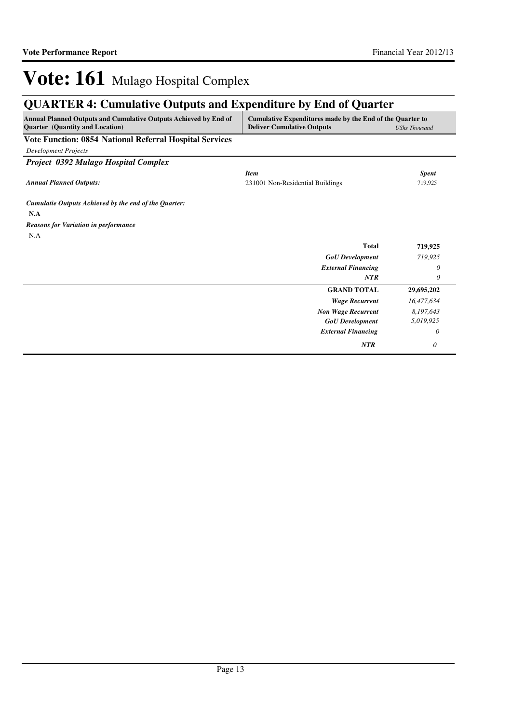## **QUARTER 4: Cumulative Outputs and Expenditure by End of Quarter**

| Annual Planned Outputs and Cumulative Outputs Achieved by End of<br><b>Quarter</b> (Quantity and Location) | Cumulative Expenditures made by the End of the Quarter to<br><b>Deliver Cumulative Outputs</b> | <b>UShs Thousand</b> |
|------------------------------------------------------------------------------------------------------------|------------------------------------------------------------------------------------------------|----------------------|
| <b>Vote Function: 0854 National Referral Hospital Services</b>                                             |                                                                                                |                      |
| <b>Development Projects</b>                                                                                |                                                                                                |                      |
| Project 0392 Mulago Hospital Complex                                                                       |                                                                                                |                      |
|                                                                                                            | <b>Item</b>                                                                                    | <b>Spent</b>         |
| <b>Annual Planned Outputs:</b>                                                                             | 231001 Non-Residential Buildings                                                               | 719,925              |
| Cumulatie Outputs Achieved by the end of the Quarter:                                                      |                                                                                                |                      |
| N.A                                                                                                        |                                                                                                |                      |
| <b>Reasons for Variation in performance</b>                                                                |                                                                                                |                      |
| N.A                                                                                                        |                                                                                                |                      |
|                                                                                                            | <b>Total</b>                                                                                   | 719,925              |
|                                                                                                            | <b>GoU</b> Development                                                                         | 719,925              |
|                                                                                                            | <b>External Financing</b>                                                                      | 0                    |
|                                                                                                            | <b>NTR</b>                                                                                     | 0                    |
|                                                                                                            | <b>GRAND TOTAL</b>                                                                             | 29,695,202           |
|                                                                                                            | <b>Wage Recurrent</b>                                                                          | 16,477,634           |
|                                                                                                            | <b>Non Wage Recurrent</b>                                                                      | 8,197,643            |
|                                                                                                            | <b>GoU</b> Development                                                                         | 5,019,925            |
|                                                                                                            | <b>External Financing</b>                                                                      | 0                    |
|                                                                                                            | <b>NTR</b>                                                                                     | 0                    |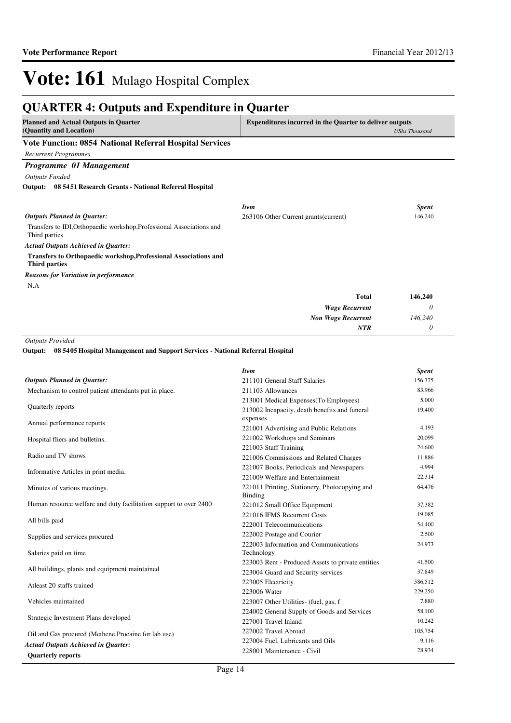#### **QUARTER 4: Outputs and Expenditure in Quarter Planned and Actual Outputs in Quarter (Quantity and Location) Expenditures incurred in the Quarter to deliver outputs**  *UShs Thousand* **Vote Function: 0854 National Referral Hospital Services** *Recurrent Programmes Programme 01 Management Outputs Funded* Transfers to IDI,Orthopaedic workshop,Professional Associations and Third parties **Transfers to Orthopaedic workshop,Professional Associations and Third parties 08 5451 Research Grants - National Referral Hospital Output:** *Wage Recurrent Non Wage Recurrent* **Total** *0 146,240 0* **146,240** *Actual Outputs Achieved in Quarter: Outputs Planned in Quarter: NTR* N.A *Reasons for Variation in performance Item Spent* 263106 Other Current grants(current) 146,240 *Outputs Provided* **08 5405 Hospital Management and Support Services - National Referral Hospital Output:**

|                                                                   | <b>Item</b>                                                     | <b>Spent</b> |
|-------------------------------------------------------------------|-----------------------------------------------------------------|--------------|
| <b>Outputs Planned in Quarter:</b>                                | 211101 General Staff Salaries                                   | 156,375      |
| Mechanism to control patient attendants put in place.             | 211103 Allowances                                               | 83,966       |
|                                                                   | 213001 Medical Expenses (To Employees)                          | 5,000        |
| Quarterly reports                                                 | 213002 Incapacity, death benefits and funeral<br>expenses       | 19,400       |
| Annual performance reports                                        | 221001 Advertising and Public Relations                         | 4,193        |
| Hospital fliers and bulletins.                                    | 221002 Workshops and Seminars                                   | 20,099       |
|                                                                   | 221003 Staff Training                                           | 24,600       |
| Radio and TV shows                                                | 221006 Commissions and Related Charges                          | 11,886       |
|                                                                   | 221007 Books, Periodicals and Newspapers                        | 4,994        |
| Informative Articles in print media.                              | 221009 Welfare and Entertainment                                | 22,314       |
| Minutes of various meetings.                                      | 221011 Printing, Stationery, Photocopying and<br><b>Binding</b> | 64,476       |
| Human resource welfare and duty facilitation support to over 2400 | 221012 Small Office Equipment                                   | 37,382       |
|                                                                   | 221016 IFMS Recurrent Costs                                     | 19,085       |
| All bills paid                                                    | 222001 Telecommunications                                       | 54,400       |
| Supplies and services procured                                    | 222002 Postage and Courier                                      | 2,500        |
| Salaries paid on time                                             | 222003 Information and Communications<br>Technology             | 24,973       |
|                                                                   | 223003 Rent - Produced Assets to private entities               | 41,500       |
| All buildings, plants and equipment maintained                    | 223004 Guard and Security services                              | 37,849       |
| Atleast 20 staffs trained                                         | 223005 Electricity                                              | 586,512      |
|                                                                   | 223006 Water                                                    | 229,250      |
| Vehicles maintained                                               | 223007 Other Utilities- (fuel, gas, f                           | 7,880        |
|                                                                   | 224002 General Supply of Goods and Services                     | 58,100       |
| Strategic Investment Plans developed                              | 227001 Travel Inland                                            | 10,242       |
| Oil and Gas procured (Methene, Procaine for lab use)              | 227002 Travel Abroad                                            | 105,754      |
| <b>Actual Outputs Achieved in Quarter:</b>                        | 227004 Fuel, Lubricants and Oils                                | 9,116        |
| <b>Quarterly reports</b>                                          | 228001 Maintenance - Civil                                      | 28,934       |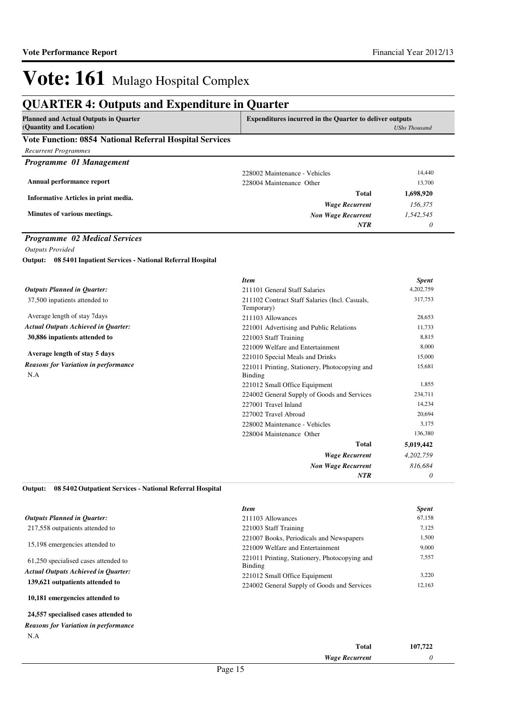### **QUARTER 4: Outputs and Expenditure in Quarter**

| <b>Planned and Actual Outputs in Quarter</b>            | <b>Expenditures incurred in the Quarter to deliver outputs</b> |               |
|---------------------------------------------------------|----------------------------------------------------------------|---------------|
| (Quantity and Location)                                 |                                                                | UShs Thousand |
| Vote Function: 0854 National Referral Hospital Services |                                                                |               |
| <b>Recurrent Programmes</b>                             |                                                                |               |
| Programme 01 Management                                 |                                                                |               |
|                                                         | 228002 Maintenance - Vehicles                                  | 14.440        |
| Annual performance report                               | 228004 Maintenance Other                                       | 13,700        |
| Informative Articles in print media.                    | Total                                                          | 1,698,920     |
|                                                         | <b>Wage Recurrent</b>                                          | 156.375       |
| Minutes of various meetings.                            | <b>Non Wage Recurrent</b>                                      | 1.542.545     |
|                                                         | NTR                                                            | 0             |

#### *Programme 02 Medical Services*

*Outputs Provided* **08 5401 Inpatient Services - National Referral Hospital Output:**

|                                                    | <b>Item</b>                                                  | <b>Spent</b> |
|----------------------------------------------------|--------------------------------------------------------------|--------------|
| <b>Outputs Planned in Quarter:</b>                 | 211101 General Staff Salaries                                | 4,202,759    |
| 37,500 inpatients attended to                      | 211102 Contract Staff Salaries (Incl. Casuals,<br>Temporary) | 317,753      |
| Average length of stay 7 days                      | 211103 Allowances                                            | 28,653       |
| <b>Actual Outputs Achieved in Quarter:</b>         | 221001 Advertising and Public Relations                      | 11,733       |
| 30,886 inpatients attended to                      | 221003 Staff Training                                        | 8,815        |
|                                                    | 221009 Welfare and Entertainment                             | 8,000        |
| Average length of stay 5 days                      | 221010 Special Meals and Drinks                              | 15,000       |
| <b>Reasons for Variation in performance</b><br>N.A | 221011 Printing, Stationery, Photocopying and<br>Binding     | 15,681       |
|                                                    | 221012 Small Office Equipment                                | 1,855        |
|                                                    | 224002 General Supply of Goods and Services                  | 234,711      |
|                                                    | 227001 Travel Inland                                         | 14,234       |
|                                                    | 227002 Travel Abroad                                         | 20,694       |
|                                                    | 228002 Maintenance - Vehicles                                | 3,175        |
|                                                    | 228004 Maintenance Other                                     | 136,380      |
|                                                    | Total                                                        | 5,019,442    |
|                                                    | <b>Wage Recurrent</b>                                        | 4,202,759    |
|                                                    | <b>Non Wage Recurrent</b>                                    | 816,684      |
|                                                    | <b>NTR</b>                                                   | 0            |

**08 5402 Outpatient Services - National Referral Hospital Output:**

|                                            | <b>Item</b>                                   | <b>Spent</b> |
|--------------------------------------------|-----------------------------------------------|--------------|
| <b>Outputs Planned in Ouarter:</b>         | 211103 Allowances                             | 67,158       |
| 217,558 outpatients attended to            | 221003 Staff Training                         | 7,125        |
|                                            | 221007 Books, Periodicals and Newspapers      | 1,500        |
| 15,198 emergencies attended to             | 221009 Welfare and Entertainment              | 9,000        |
| 61,250 specialised cases attended to       | 221011 Printing, Stationery, Photocopying and | 7,557        |
| <b>Actual Outputs Achieved in Ouarter:</b> | Binding                                       |              |
|                                            | 221012 Small Office Equipment                 | 3,220        |
| 139,621 outpatients attended to            | 224002 General Supply of Goods and Services   | 12,163       |
| 10,181 emergencies attended to             |                                               |              |
|                                            |                                               |              |

#### **24,557 specialised cases attended to** N.A *Reasons for Variation in performance*

| Total                 | 107,722 |
|-----------------------|---------|
| <b>Wage Recurrent</b> |         |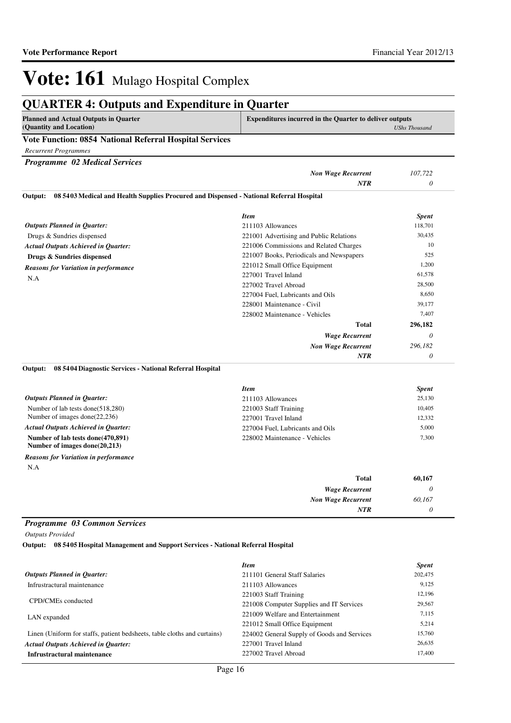### **QUARTER 4: Outputs and Expenditure in Quarter**

| Planned and Actual Outputs in Quarter                   | <b>Expenditures incurred in the Quarter to deliver outputs</b> |
|---------------------------------------------------------|----------------------------------------------------------------|
| (Quantity and Location)                                 | UShs Thousand                                                  |
| Vote Eurotian: 0854 National Defermal Hegrital Convices |                                                                |

#### **Vote Function: 0854 National Referral Hospital Services**

*Recurrent Programmes*

*Programme 02 Medical Services*

|                                                                                                    | <b>Non Wage Recurrent</b>                | 107.722      |
|----------------------------------------------------------------------------------------------------|------------------------------------------|--------------|
|                                                                                                    | <b>NTR</b>                               | 0            |
| 08 5403 Medical and Health Supplies Procured and Dispensed - National Referral Hospital<br>Output: |                                          |              |
|                                                                                                    | <b>Item</b>                              | <b>Spent</b> |
| <b>Outputs Planned in Ouarter:</b>                                                                 | 211103 Allowances                        | 118,701      |
| Drugs & Sundries dispensed                                                                         | 221001 Advertising and Public Relations  | 30,435       |
| <b>Actual Outputs Achieved in Ouarter:</b>                                                         | 221006 Commissions and Related Charges   | 10           |
| Drugs & Sundries dispensed                                                                         | 221007 Books, Periodicals and Newspapers | 525          |
| <b>Reasons for Variation in performance</b>                                                        | 221012 Small Office Equipment            | 1,200        |
| N.A                                                                                                | 227001 Travel Inland                     | 61,578       |
|                                                                                                    | 227002 Travel Abroad                     | 28,500       |
|                                                                                                    | 227004 Fuel. Lubricants and Oils         | 8,650        |

| 228001 Maintenance - Civil    | 39,177   |
|-------------------------------|----------|
| 228002 Maintenance - Vehicles | 7,407    |
| <b>Total</b>                  | 296,182  |
| <b>Wage Recurrent</b>         | $\theta$ |
| <b>Non Wage Recurrent</b>     | 296,182  |
| <b>NTR</b>                    | 0        |

#### **08 5404 Diagnostic Services - National Referral Hospital Output:**

|                                                                        | <b>Item</b>                      | <b>Spent</b> |
|------------------------------------------------------------------------|----------------------------------|--------------|
| <b>Outputs Planned in Ouarter:</b>                                     | 211103 Allowances                | 25,130       |
| Number of lab tests done(518,280)                                      | 221003 Staff Training            | 10.405       |
| Number of images done $(22, 236)$                                      | 227001 Travel Inland             | 12,332       |
| <b>Actual Outputs Achieved in Ouarter:</b>                             | 227004 Fuel, Lubricants and Oils | 5,000        |
| Number of lab tests done(470,891)<br>Number of images done( $20,213$ ) | 228002 Maintenance - Vehicles    | 7,300        |
| <b>Reasons for Variation in performance</b>                            |                                  |              |
|                                                                        |                                  |              |

N.A

| 60,167 | Total                     |
|--------|---------------------------|
|        | <b>Wage Recurrent</b>     |
| 60,167 | <b>Non Wage Recurrent</b> |
|        | NTR                       |

#### *Programme 03 Common Services*

*Outputs Provided*

**08 5405 Hospital Management and Support Services - National Referral Hospital Output:**

|                                                                          | <b>Item</b>                                 | <b>Spent</b> |
|--------------------------------------------------------------------------|---------------------------------------------|--------------|
| <b>Outputs Planned in Quarter:</b>                                       | 211101 General Staff Salaries               | 202,475      |
| Infrustractural maintenance                                              | 211103 Allowances                           | 9.125        |
|                                                                          | 221003 Staff Training                       | 12.196       |
| CPD/CMEs conducted                                                       | 221008 Computer Supplies and IT Services    | 29,567       |
| LAN expanded                                                             | 221009 Welfare and Entertainment            | 7.115        |
|                                                                          | 221012 Small Office Equipment               | 5,214        |
| Linen (Uniform for staffs, patient bedsheets, table cloths and curtains) | 224002 General Supply of Goods and Services | 15,760       |
| <b>Actual Outputs Achieved in Ouarter:</b>                               | 227001 Travel Inland                        | 26.635       |
| Infrustractural maintenance                                              | 227002 Travel Abroad                        | 17.400       |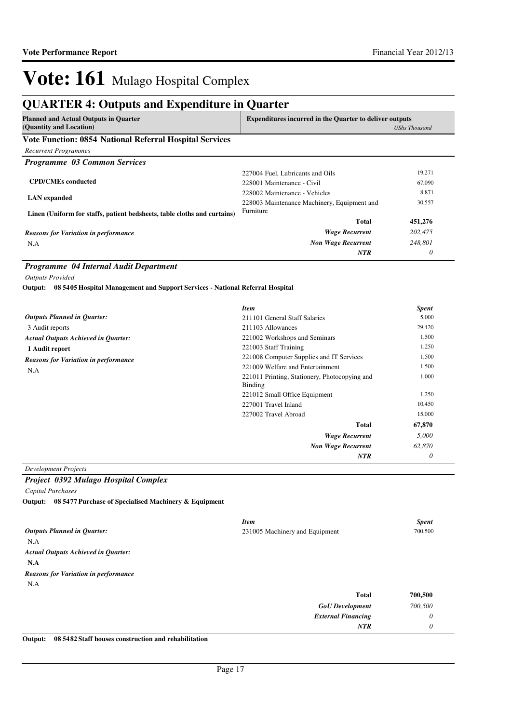## **QUARTER 4: Outputs and Expenditure in Quarter**

| <b>Planned and Actual Outputs in Quarter</b><br>(Quantity and Location)  | <b>Expenditures incurred in the Quarter to deliver outputs</b><br><b>UShs Thousand</b> |         |
|--------------------------------------------------------------------------|----------------------------------------------------------------------------------------|---------|
| Vote Function: 0854 National Referral Hospital Services                  |                                                                                        |         |
| <b>Recurrent Programmes</b>                                              |                                                                                        |         |
| <b>Programme 03 Common Services</b>                                      |                                                                                        |         |
|                                                                          | 227004 Fuel, Lubricants and Oils                                                       | 19,271  |
| <b>CPD/CMEs conducted</b>                                                | 228001 Maintenance - Civil                                                             | 67,090  |
|                                                                          | 228002 Maintenance - Vehicles                                                          | 8,871   |
| <b>LAN</b> expanded                                                      | 228003 Maintenance Machinery, Equipment and                                            | 30,557  |
| Linen (Uniform for staffs, patient bedsheets, table cloths and curtains) | Furniture                                                                              |         |
|                                                                          | Total                                                                                  | 451,276 |
| <b>Reasons for Variation in performance</b>                              | <b>Wage Recurrent</b>                                                                  | 202,475 |
| N.A                                                                      | <b>Non Wage Recurrent</b>                                                              | 248,801 |
|                                                                          | <b>NTR</b>                                                                             | 0       |

#### *Programme 04 Internal Audit Department*

*Outputs Provided*

**08 5405 Hospital Management and Support Services - National Referral Hospital Output:**

|                                             | <b>Item</b>                                              | <b>Spent</b> |
|---------------------------------------------|----------------------------------------------------------|--------------|
| <b>Outputs Planned in Quarter:</b>          | 211101 General Staff Salaries                            | 5,000        |
| 3 Audit reports                             | 211103 Allowances                                        | 29,420       |
| <b>Actual Outputs Achieved in Quarter:</b>  | 221002 Workshops and Seminars                            | 1,500        |
| 1 Audit report                              | 221003 Staff Training                                    | 1,250        |
| <b>Reasons for Variation in performance</b> | 221008 Computer Supplies and IT Services                 | 1,500        |
| N.A                                         | 221009 Welfare and Entertainment                         | 1,500        |
|                                             | 221011 Printing, Stationery, Photocopying and<br>Binding | 1,000        |
|                                             | 221012 Small Office Equipment                            | 1,250        |
|                                             | 227001 Travel Inland                                     | 10,450       |
|                                             | 227002 Travel Abroad                                     | 15,000       |
|                                             | <b>Total</b>                                             | 67,870       |
|                                             | <b>Wage Recurrent</b>                                    | 5,000        |
|                                             | <b>Non Wage Recurrent</b>                                | 62,870       |
|                                             | NTR                                                      | 0            |

*Development Projects*

*Project 0392 Mulago Hospital Complex*

*Capital Purchases*

**08 5477 Purchase of Specialised Machinery & Equipment Output:**

|                                             | <b>Item</b>                    | <b>Spent</b> |
|---------------------------------------------|--------------------------------|--------------|
| <b>Outputs Planned in Quarter:</b>          | 231005 Machinery and Equipment | 700,500      |
| N.A                                         |                                |              |
| <b>Actual Outputs Achieved in Quarter:</b>  |                                |              |
| N.A                                         |                                |              |
| <b>Reasons for Variation in performance</b> |                                |              |
| N.A                                         |                                |              |
|                                             | <b>Total</b>                   | 700,500      |
|                                             | <b>GoU</b> Development         | 700,500      |
|                                             | <b>External Financing</b>      | $\theta$     |
|                                             | NTR                            | 0            |

**Output: 08 5482 Staff houses construction and rehabilitation**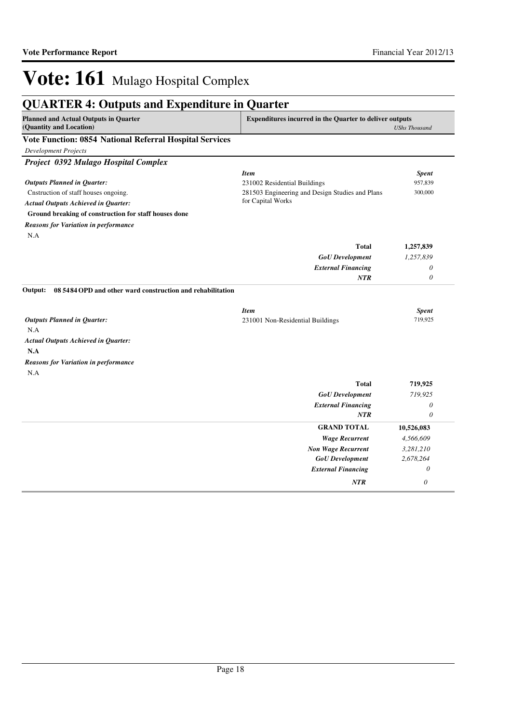*NTR 0*

# Vote: 161 Mulago Hospital Complex

| <b>Planned and Actual Outputs in Quarter</b><br><b>Expenditures incurred in the Quarter to deliver outputs</b> |                                                 |                      |  |
|----------------------------------------------------------------------------------------------------------------|-------------------------------------------------|----------------------|--|
| (Quantity and Location)                                                                                        |                                                 | <b>UShs Thousand</b> |  |
| Vote Function: 0854 National Referral Hospital Services                                                        |                                                 |                      |  |
| <b>Development Projects</b>                                                                                    |                                                 |                      |  |
| Project 0392 Mulago Hospital Complex                                                                           |                                                 |                      |  |
|                                                                                                                | <b>Item</b>                                     | <b>Spent</b>         |  |
| <b>Outputs Planned in Quarter:</b>                                                                             | 231002 Residential Buildings                    | 957,839              |  |
| Cnstruction of staff houses ongoing.                                                                           | 281503 Engineering and Design Studies and Plans | 300,000              |  |
| <b>Actual Outputs Achieved in Quarter:</b>                                                                     | for Capital Works                               |                      |  |
| Ground breaking of construction for staff houses done                                                          |                                                 |                      |  |
| <b>Reasons for Variation in performance</b>                                                                    |                                                 |                      |  |
| N.A                                                                                                            |                                                 |                      |  |
|                                                                                                                | <b>Total</b>                                    | 1,257,839            |  |
|                                                                                                                | <b>GoU</b> Development                          | 1,257,839            |  |
|                                                                                                                | <b>External Financing</b>                       | 0                    |  |
|                                                                                                                | NTR                                             | 0                    |  |
| 08 5484 OPD and other ward construction and rehabilitation<br>Output:                                          |                                                 |                      |  |
|                                                                                                                | <b>Item</b>                                     | <b>Spent</b>         |  |
| <b>Outputs Planned in Quarter:</b>                                                                             | 231001 Non-Residential Buildings                | 719,925              |  |
| N.A                                                                                                            |                                                 |                      |  |
| <b>Actual Outputs Achieved in Quarter:</b>                                                                     |                                                 |                      |  |
| N.A                                                                                                            |                                                 |                      |  |
| <b>Reasons for Variation in performance</b>                                                                    |                                                 |                      |  |
| N.A                                                                                                            |                                                 |                      |  |
|                                                                                                                | <b>Total</b>                                    | 719,925              |  |
|                                                                                                                | <b>GoU</b> Development                          | 719,925              |  |
|                                                                                                                | <b>External Financing</b>                       | 0                    |  |
|                                                                                                                | NTR                                             | $\theta$             |  |
|                                                                                                                | <b>GRAND TOTAL</b>                              | 10,526,083           |  |
|                                                                                                                | <b>Wage Recurrent</b>                           | 4,566,609            |  |
|                                                                                                                | <b>Non Wage Recurrent</b>                       | 3,281,210            |  |
|                                                                                                                | <b>GoU</b> Development                          | 2,678,264            |  |
|                                                                                                                | <b>External Financing</b>                       | 0                    |  |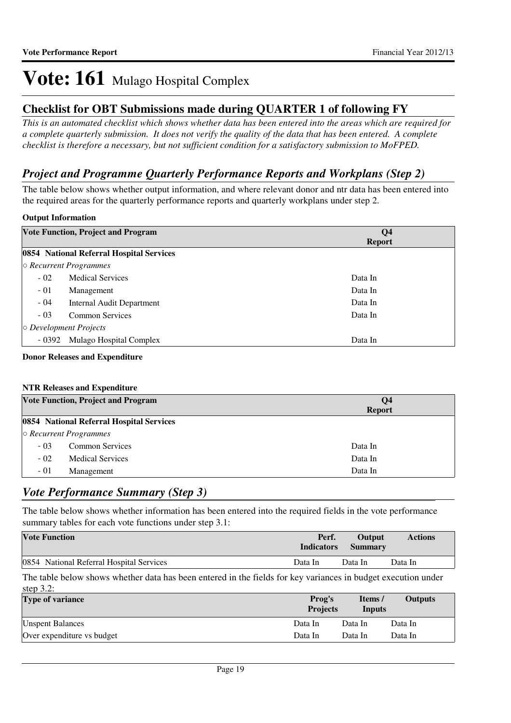### **Checklist for OBT Submissions made during QUARTER 1 of following FY**

*This is an automated checklist which shows whether data has been entered into the areas which are required for a complete quarterly submission. It does not verify the quality of the data that has been entered. A complete checklist is therefore a necessary, but not sufficient condition for a satisfactory submission to MoFPED.*

### *Project and Programme Quarterly Performance Reports and Workplans (Step 2)*

The table below shows whether output information, and where relevant donor and ntr data has been entered into the required areas for the quarterly performance reports and quarterly workplans under step 2.

### **Output Information**

|         | <b>Vote Function, Project and Program</b> | Q <sub>4</sub><br><b>Report</b> |
|---------|-------------------------------------------|---------------------------------|
|         | 0854 National Referral Hospital Services  |                                 |
|         | $\circ$ Recurrent Programmes              |                                 |
| $-02$   | <b>Medical Services</b>                   | Data In                         |
| $-01$   | Management                                | Data In                         |
| $-04$   | Internal Audit Department                 | Data In                         |
| $-03$   | <b>Common Services</b>                    | Data In                         |
|         | $\circ$ Development Projects              |                                 |
| $-0392$ | Mulago Hospital Complex                   | Data In                         |

#### **Donor Releases and Expenditure**

#### **NTR Releases and Expenditure**

|       | <b>Vote Function, Project and Program</b> | $\overline{O4}$<br><b>Report</b> |
|-------|-------------------------------------------|----------------------------------|
|       | 0854 National Referral Hospital Services  |                                  |
|       | $\circ$ Recurrent Programmes              |                                  |
| $-03$ | <b>Common Services</b>                    | Data In                          |
| $-02$ | <b>Medical Services</b>                   | Data In                          |
| $-01$ | Management                                | Data In                          |

### *Vote Performance Summary (Step 3)*

The table below shows whether information has been entered into the required fields in the vote performance summary tables for each vote functions under step 3.1:

| <b>Vote Function</b>                     | Perf.<br><b>Indicators</b> | Output<br><b>Summary</b> | <b>Actions</b> |
|------------------------------------------|----------------------------|--------------------------|----------------|
| 0854 National Referral Hospital Services | Data In                    | Data In                  | Data In        |

The table below shows whether data has been entered in the fields for key variances in budget execution under step  $3.2$ :

| $0.000 \, \omega_{\rm s} \omega_{\rm s}$<br><b>Type of variance</b> | Prog's<br><b>Projects</b> | Items/<br>Inputs | <b>Outputs</b> |
|---------------------------------------------------------------------|---------------------------|------------------|----------------|
| <b>Unspent Balances</b>                                             | Data In                   | Data In          | Data In        |
| Over expenditure vs budget                                          | Data In                   | Data In          | Data In        |